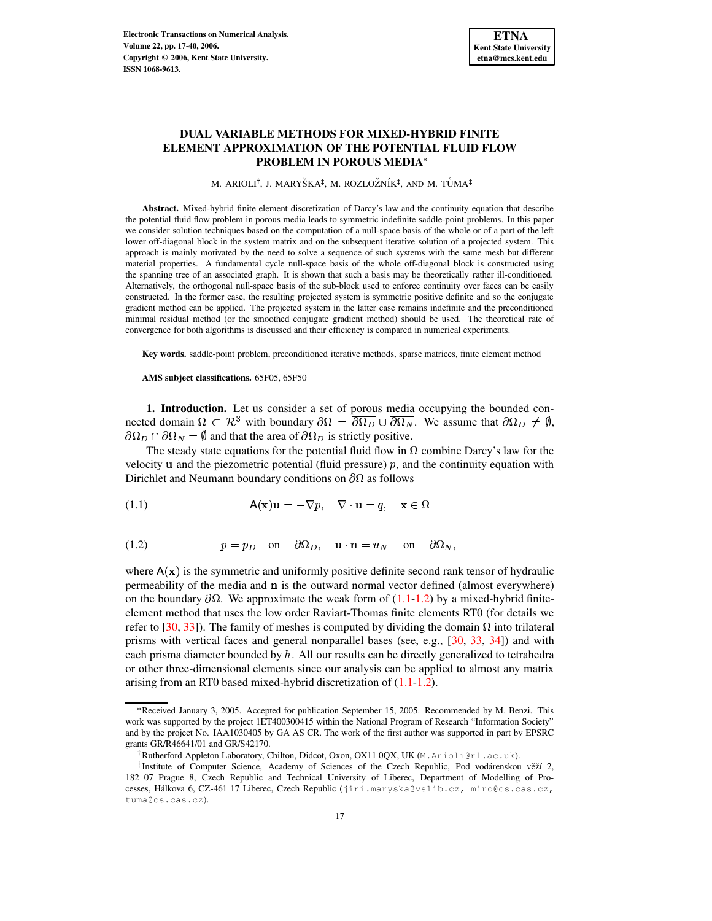# **DUAL VARIABLE METHODS FOR MIXED-HYBRID FINITE ELEMENT APPROXIMATION OF THE POTENTIAL FLUID FLOW PROBLEM IN POROUS MEDIA**

M. ARIOLI<sup>†</sup>, J. MARYŠKA<sup>‡</sup>, M. ROZLOŽNÍK<sup>‡</sup>, AND M. TŮMA

**Abstract.** Mixed-hybrid finite element discretization of Darcy's law and the continuity equation that describe the potential fluid flow problem in porous media leads to symmetric indefinite saddle-point problems. In this paper we consider solution techniques based on the computation of a null-space basis of the whole or of a part of the left lower off-diagonal block in the system matrix and on the subsequent iterative solution of a projected system. This approach is mainly motivated by the need to solve a sequence of such systems with the same mesh but different material properties. A fundamental cycle null-space basis of the whole off-diagonal block is constructed using the spanning tree of an associated graph. It is shown that such a basis may be theoretically rather ill-conditioned. Alternatively, the orthogonal null-space basis of the sub-block used to enforce continuity over faces can be easily constructed. In the former case, the resulting projected system is symmetric positive definite and so the conjugate gradient method can be applied. The projected system in the latter case remains indefinite and the preconditioned minimal residual method (or the smoothed conjugate gradient method) should be used. The theoretical rate of convergence for both algorithms is discussed and their efficiency is compared in numerical experiments.

**Key words.** saddle-point problem, preconditioned iterative methods, sparse matrices, finite element method

**AMS subject classifications.** 65F05, 65F50

**1. Introduction.** Let us consider a set of porous media occupying the bounded connected domain  $\Omega \subset \mathbb{R}^3$  with boundary  $\partial \Omega = \partial \Omega_D \cup \partial \Omega_N$ . We assume that  $\partial \Omega_D \neq \emptyset$ ,  $\partial \Omega_D \cap \partial \Omega_N = \emptyset$  and that the area of  $\partial \Omega_D$  is strictly positive.

The steady state equations for the potential fluid flow in  $\Omega$  combine Darcy's law for the velocity  $\bf{u}$  and the piezometric potential (fluid pressure)  $\bf{p}$ , and the continuity equation with Dirichlet and Neumann boundary conditions on  $\partial\Omega$  as follows

<span id="page-0-0"></span>(1.1)  $A(\mathbf{x})\mathbf{u} = -\nabla p, \quad \nabla \cdot \mathbf{u} = q, \quad \mathbf{x} \in \Omega$ 

<span id="page-0-1"></span>(1.2) 
$$
p = p_D
$$
 on  $\partial \Omega_D$ ,  $\mathbf{u} \cdot \mathbf{n} = u_N$  on  $\partial \Omega_N$ ,

where  $A(x)$  is the symmetric and uniformly positive definite second rank tensor of hydraulic permeability of the media and  $\bf{n}$  is the outward normal vector defined (almost everywhere) on the boundary  $\partial\Omega$ . We approximate the weak form of [\(1.1-](#page-0-0)[1.2\)](#page-0-1) by a mixed-hybrid finiteelement method that uses the low order Raviart-Thomas finite elements RT0 (for details we refer to [\[30,](#page-22-0) [33\]](#page-22-1)). The family of meshes is computed by dividing the domain  $\overline{\Omega}$  into trilateral prisms with vertical faces and general nonparallel bases (see, e.g., [\[30,](#page-22-0) [33,](#page-22-1) [34\]](#page-22-2)) and with each prisma diameter bounded by  $h$ . All our results can be directly generalized to tetrahedra or other three-dimensional elements since our analysis can be applied to almost any matrix arising from an RT0 based mixed-hybrid discretization of [\(1.1-](#page-0-0)[1.2\)](#page-0-1).

<sup>\*</sup> Received January 3, 2005. Accepted for publication September 15, 2005. Recommended by M. Benzi. This work was supported by the project 1ET400300415 within the National Program of Research "Information Society" and by the project No. IAA1030405 by GA AS CR. The work of the first author was supported in part by EPSRC grants GR/R46641/01 and GR/S42170.

Rutherford Appleton Laboratory, Chilton, Didcot, Oxon, OX11 0QX, UK (M.Arioli@rl.ac.uk).

<sup>&</sup>lt;sup>‡</sup>Institute of Computer Science, Academy of Sciences of the Czech Republic, Pod vodárenskou věží 2, 182 07 Prague 8, Czech Republic and Technical University of Liberec, Department of Modelling of Processes, Hálkova 6, CZ-461 17 Liberec, Czech Republic (jiri.maryska@vslib.cz, miro@cs.cas.cz, tuma@cs.cas.cz).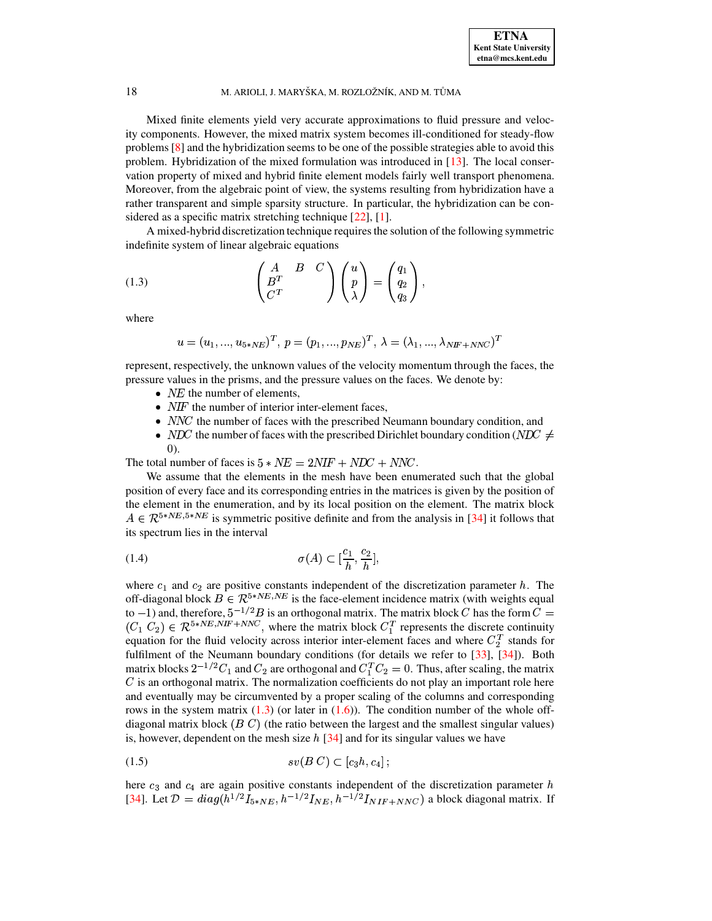Mixed finite elements yield very accurate approximations to fluid pressure and velocity components. However, the mixed matrix system becomes ill-conditioned for steady-flow problems [\[8\]](#page-21-0) and the hybridization seems to be one of the possible strategies able to avoid this problem. Hybridization of the mixed formulation was introduced in [\[13\]](#page-21-1). The local conservation property of mixed and hybrid finite element models fairly well transport phenomena. Moreover, from the algebraic point of view, the systems resulting from hybridization have a rather transparent and simple sparsity structure. In particular, the hybridization can be con-sidered as a specific matrix stretching technique [\[22\]](#page-22-3), [\[1\]](#page-21-2).

A mixed-hybrid discretization technique requiresthe solution of the following symmetric indefinite system of linear algebraic equations

<span id="page-1-0"></span>(1.3) 
$$
\begin{pmatrix} A & B & C \ B^T & & \\ B^T & & \\ C^T & & \end{pmatrix} \begin{pmatrix} u \\ p \\ \lambda \end{pmatrix} = \begin{pmatrix} q_1 \\ q_2 \\ q_3 \end{pmatrix},
$$

where

$$
u=(u_1,...,u_{5*NE})^T,\,p=(p_1,...,p_{NE})^T,\,\lambda=(\lambda_1,...,\lambda_{NIF+NNC})^T
$$

represent, respectively, the unknown values of the velocity momentum through the faces, the pressure values in the prisms, and the pressure values on the faces. We denote by:

- $\bullet$  *NE* the number of elements,
- $\bullet$  *NIF* the number of interior inter-element faces,
- $\bullet$  *NNC* the number of faces with the prescribed Neumann boundary condition, and
- *NDC* the number of faces with the prescribed Dirichlet boundary condition (*NDC*  $\neq$ <sup>k</sup> ).

The total number of faces is  $5 * NE = 2NIF + NDC + NNC$ .

We assume that the elements in the mesh have been enumerated such that the global position of every face and its corresponding entries in the matrices is given by the position of the element in the enumeration, and by its local position on the element. The matrix block  $A \in \mathcal{R}^{5*NE,5*NE}$  is symmetric positive definite and from the analysis in [\[34\]](#page-22-2) it follows that its spectrum lies in the interval

<span id="page-1-1"></span>(1.4) 
$$
\sigma(A) \subset \left[\frac{c_1}{h}, \frac{c_2}{h}\right],
$$

where  $c_1$  and  $c_2$  are positive constants independent of the discretization parameter h. The off-diagonal block  $B \in \mathcal{R}^{5*NE, NE}$  is the face-element incidence matrix (with weights equal to  $-1$ ) and, therefore,  $5^{-1/2}B$  is an orthogonal matrix. The matrix block  $C$  has the form  $C=$  $(C_1 C_2) \in \mathcal{R}^{5*NE,NIF+NNC}$ , where the matrix block  $C_1^T$  represents the discrete continuity equation for the fluid velocity across interior inter-element faces and where  $C_2^T$  stands for fulfilment of the Neumann boundary conditions (for details we refer to [\[33\]](#page-22-1), [\[34\]](#page-22-2)). Both matrix blocks  $2^{-1/2}C_1$  and  $C_2$  are orthogonal and  $C_1^TC_2 = 0$ . Thus, after scaling, the matrix  *is an orthogonal matrix. The normalization coefficients do not play an important role here* and eventually may be circumvented by a proper scaling of the columns and corresponding rows in the system matrix  $(1.3)$  (or later in  $(1.6)$ ). The condition number of the whole offdiagonal matrix block  $(B C)$  (the ratio between the largest and the smallest singular values) is, however, dependent on the mesh size  $h$  [\[34\]](#page-22-2) and for its singular values we have

<span id="page-1-2"></span>
$$
(1.5) \t sv(B C) \subset [c_3h, c_4];
$$

here  $c_3$  and  $c_4$  are again positive constants independent of the discretization parameter h [\[34\]](#page-22-2). Let  $\mathcal{D} = diag(h^{1/2}I_{5*NE}, h^{-1/2}I_{NE}, h^{-1/2}I_{NIF+NNC})$  a block diagonal matrix. If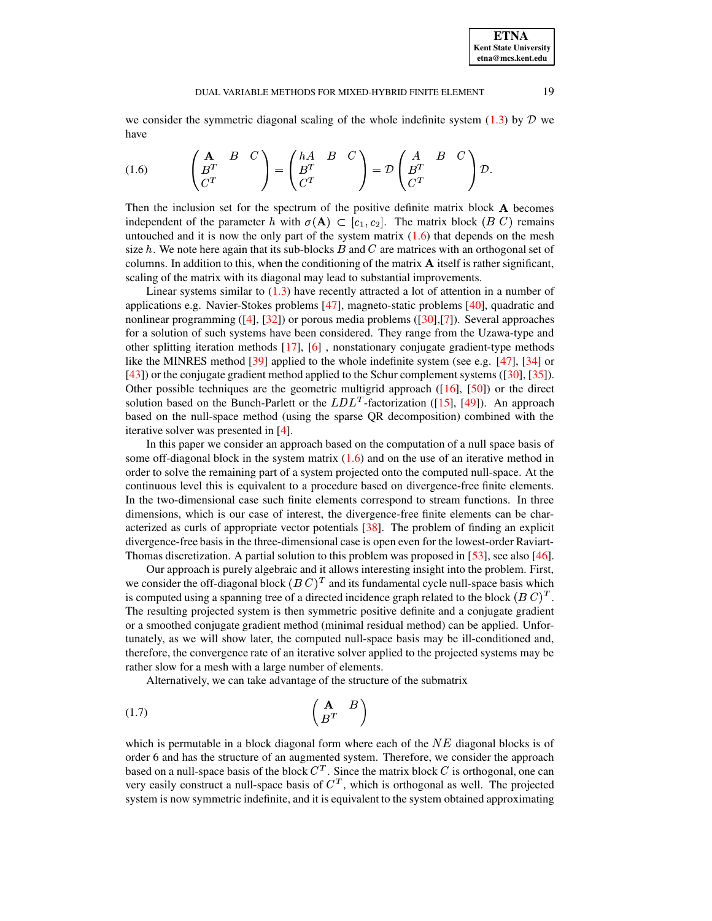we consider the symmetric diagonal scaling of the whole indefinite system  $(1.3)$  by  $\mathcal D$  we have

<span id="page-2-0"></span>(1.6) 
$$
\begin{pmatrix} \mathbf{A} & B & C \\ B^T & & \end{pmatrix} = \begin{pmatrix} hA & B & C \\ B^T & & \end{pmatrix} = \mathcal{D} \begin{pmatrix} A & B & C \\ B^T & & \end{pmatrix} \mathcal{D}.
$$

Then the inclusion set for the spectrum of the positive definite matrix block **A** becomes Then the inclusion set for the spectrum of the posindependent of the parameter h with  $\sigma(\mathbf{A}) \subset [c_1, c_2]$  $(A) \subset [c_1, c_2]$ . The matrix block  $(B \ C)$  remains untouched and it is now the only part of the system matrix  $(1.6)$  that depends on the mesh size  $h$ . We note here again that its sub-blocks  $B$  and  $C$  are matrices with an orthogonal set of columns. In addition to this, when the conditioning of the matrix  $A$  itself is rather significant, scaling of the matrix with its diagonal may lead to substantial improvements.

Linear systems similar to  $(1.3)$  have recently attracted a lot of attention in a number of applications e.g. Navier-Stokes problems [\[47\]](#page-22-4), magneto-static problems [\[40\]](#page-22-5), quadratic and nonlinear programming  $([4], [32])$  $([4], [32])$  $([4], [32])$  $([4], [32])$  $([4], [32])$  or porous media problems  $([30], [7])$  $([30], [7])$  $([30], [7])$  $([30], [7])$  $([30], [7])$ . Several approaches for a solution of such systems have been considered. They range from the Uzawa-type and other splitting iteration methods [\[17\]](#page-22-7), [\[6\]](#page-21-5) , nonstationary conjugate gradient-type methods like the MINRES method [\[39\]](#page-22-8) applied to the whole indefinite system (see e.g. [\[47\]](#page-22-4), [\[34\]](#page-22-2) or [\[43\]](#page-22-9)) or the conjugate gradient method applied to the Schur complement systems ([\[30\]](#page-22-0), [\[35\]](#page-22-10)). Other possible techniques are the geometric multigrid approach ([\[16\]](#page-22-11), [\[50\]](#page-23-0)) or the direct solution based on the Bunch-Parlett or the  $LDL<sup>T</sup>$ -factorization  $T$ -factorization ([\[15\]](#page-21-6), [\[49\]](#page-23-1)). An approach based on the null-space method (using the sparse QR decomposition) combined with the iterative solver was presented in [\[4\]](#page-21-3).

In this paper we consider an approach based on the computation of a null space basis of some off-diagonal block in the system matrix  $(1.6)$  and on the use of an iterative method in order to solve the remaining part of a system projected onto the computed null-space. At the continuous level this is equivalent to a procedure based on divergence-free finite elements. In the two-dimensional case such finite elements correspond to stream functions. In three dimensions, which is our case of interest, the divergence-free finite elements can be characterized as curls of appropriate vector potentials [\[38\]](#page-22-12). The problem of finding an explicit divergence-free basis in the three-dimensional case is open even for the lowest-order Raviart-Thomas discretization. A partial solution to this problem was proposed in [\[53\]](#page-23-2), see also [\[46\]](#page-22-13).

Our approach is purely algebraic and it allows interesting insight into the problem. First, we consider the off-diagonal block  $(B C)^T$  and its fundamental cycle null-space basis which is computed using a spanning tree of a directed incidence graph related to the block  $(B C)^T$ . The resulting projected system is then symmetric positive definite and a conjugate gradient or a smoothed conjugate gradient method (minimal residual method) can be applied. Unfortunately, as we will show later, the computed null-space basis may be ill-conditioned and, therefore, the convergence rate of an iterative solver applied to the projected systems may be rather slow for a mesh with a large number of elements.

Alternatively, we can take advantage of the structure of the submatrix

$$
\begin{pmatrix} \mathbf{A} & B \\ B^T & \end{pmatrix}
$$

which is permutable in a block diagonal form where each of the  $NE$  diagonal blocks is of order 6 and has the structure of an augmented system. Therefore, we consider the approach based on a null-space basis of the block  $C<sup>T</sup>$ . Since the matrix block C is orthogonal, one can very easily construct a null-space basis of  $C<sup>T</sup>$ , which is orthogonal as well. The projected system is now symmetric indefinite, and it is equivalent to the system obtained approximating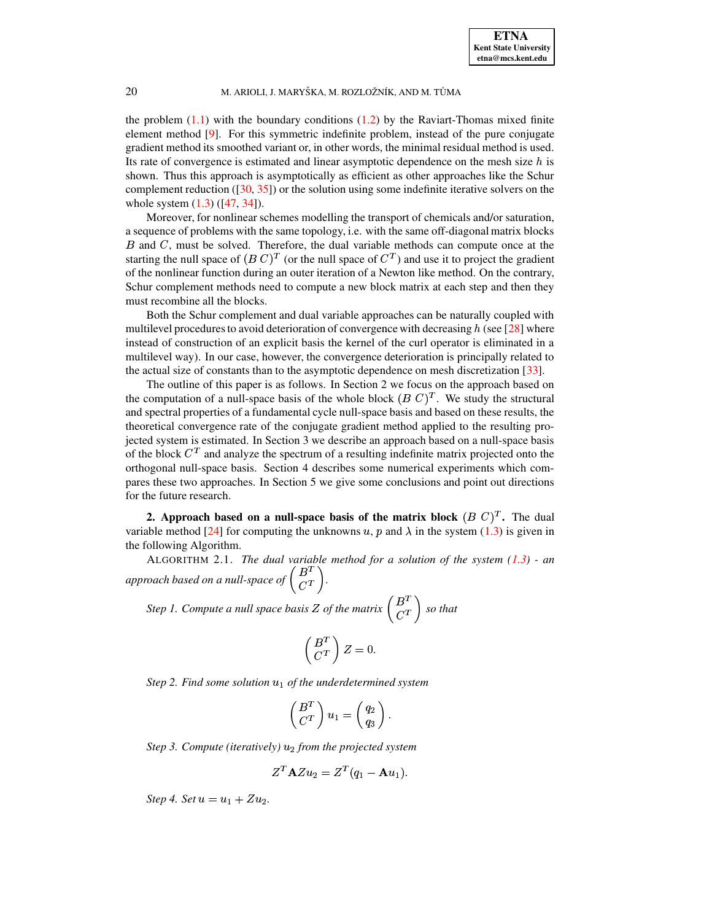the problem  $(1.1)$  with the boundary conditions  $(1.2)$  by the Raviart-Thomas mixed finite element method [\[9\]](#page-21-7). For this symmetric indefinite problem, instead of the pure conjugate gradient method its smoothed variant or, in other words, the minimal residual method is used. Its rate of convergence is estimated and linear asymptotic dependence on the mesh size  $h$  is shown. Thus this approach is asymptotically as efficient as other approaches like the Schur complement reduction  $(30, 35)$  or the solution using some indefinite iterative solvers on the whole system [\(1.3\)](#page-1-0) ([\[47,](#page-22-4) [34\]](#page-22-2)).

Moreover, for nonlinear schemes modelling the transport of chemicals and/or saturation, a sequence of problems with the same topology, i.e. with the same off-diagonal matrix blocks  $B$  and  $C$ , must be solved. Therefore, the dual variable methods can compute once at the starting the null space of  $(B C)^T$  (or the null space of  $C^T$ ) and use it to project the gradient of the nonlinear function during an outer iteration of a Newton like method. On the contrary, Schur complement methods need to compute a new block matrix at each step and then they must recombine all the blocks.

Both the Schur complement and dual variable approaches can be naturally coupled with multilevel procedures to avoid deterioration of convergence with decreasing  $h$  (see [\[28\]](#page-22-14) where instead of construction of an explicit basis the kernel of the curl operator is eliminated in a multilevel way). In our case, however, the convergence deterioration is principally related to the actual size of constants than to the asymptotic dependence on mesh discretization [\[33\]](#page-22-1).

The outline of this paper is as follows. In Section 2 we focus on the approach based on the computation of a null-space basis of the whole block  $(B\ C)^T$ . We study the structural and spectral properties of a fundamental cycle null-space basis and based on these results, the theoretical convergence rate of the conjugate gradient method applied to the resulting projected system is estimated. In Section 3 we describe an approach based on a null-space basis of the block  $C<sup>T</sup>$  and analyze the spectrum of a resulting indefinite matrix projected onto the orthogonal null-space basis. Section 4 describes some numerical experiments which compares these two approaches. In Section 5 we give some conclusions and point out directions for the future research.

**2. Approach based on a null-space basis** of the **matrix block**  $(B C)^T$ . The dual variable method [\[24\]](#page-22-15) for computing the unknowns u, p and  $\lambda$  in the system [\(1.3\)](#page-1-0) is given in the following Algorithm.

<span id="page-3-0"></span>ALGORITHM 2.1. *The dual variable method for a solution of the system [\(1.3\)](#page-1-0) - an approach based on a null-space of*  $\begin{pmatrix} B^T \ C^T \end{pmatrix}$ .

*Step 1. Compute a null space basis*  $Z$  *of the matrix*  $\begin{pmatrix} B^T \\ C^T \end{pmatrix}$  *so that* 

$$
\left(\frac{B^T}{C^T}\right)Z=0.
$$

*Step* 2. Find some solution  $u_1$  of the underdetermined system

$$
\left(\begin{matrix} B^T \\ C^T \end{matrix}\right) u_1 = \left(\begin{matrix} q_2 \\ q_3 \end{matrix}\right).
$$

*Step* 3. *Compute* (*iteratively*)  $u_2$  *from the projected system* 

$$
Z^T \mathbf{A} Z u_2 = Z^T (q_1 - \mathbf{A} u_1).
$$

*Step 4. Set*  $u = u_1 + Zu_2$ .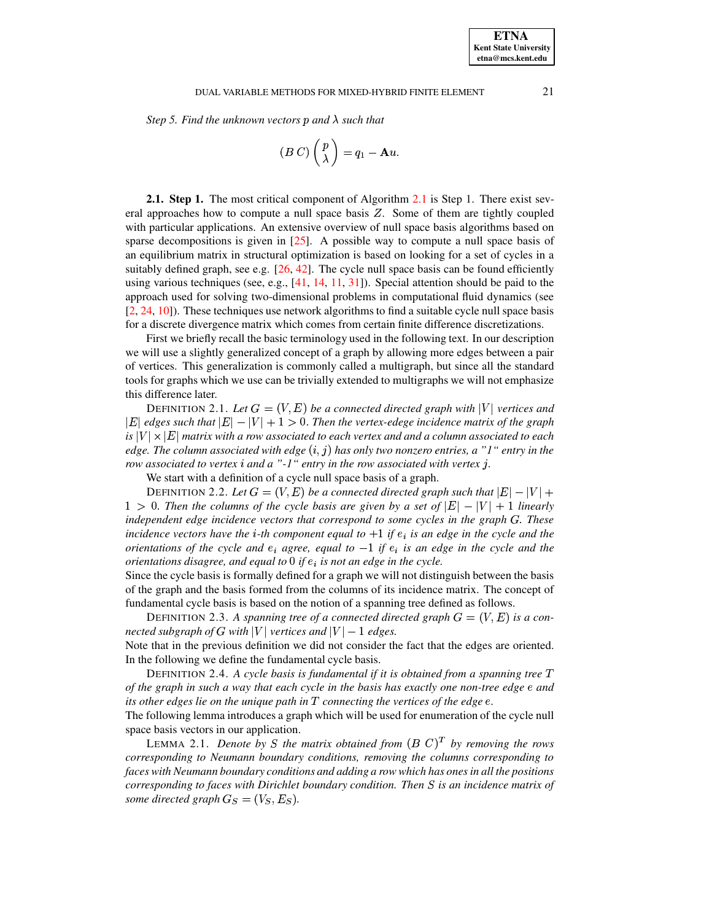### DUAL VARIABLE METHODS FOR MIXED-HYBRID FINITE ELEMENT 21

Step 5. Find the unknown vectors p and  $\lambda$  such that

$$
(B\ C)\begin{pmatrix}p\\\lambda\end{pmatrix}=q_1-\mathbf{A} u.
$$

**2.1. Step 1.** The most critical component of Algorithm [2.1](#page-3-0) is Step 1. There exist several approaches how to compute a null space basis  $Z$ . Some of them are tightly coupled with particular applications. An extensive overview of null space basis algorithms based on sparse decompositions is given in  $[25]$ . A possible way to compute a null space basis of an equilibrium matrix in structural optimization is based on looking for a set of cycles in a suitably defined graph, see e.g. [\[26,](#page-22-17) [42\]](#page-22-18). The cycle null space basis can be found efficiently using various techniques (see, e.g.,  $[41, 14, 11, 31]$  $[41, 14, 11, 31]$  $[41, 14, 11, 31]$  $[41, 14, 11, 31]$  $[41, 14, 11, 31]$  $[41, 14, 11, 31]$  $[41, 14, 11, 31]$ ). Special attention should be paid to the approach used for solving two-dimensional problems in computational fluid dynamics (see [\[2,](#page-21-10) [24,](#page-22-15) [10\]](#page-21-11)). These techniques use network algorithms to find a suitable cycle null space basis for a discrete divergence matrix which comes from certain finite difference discretizations.

First we briefly recall the basic terminology used in the following text. In our description we will use a slightly generalized concept of a graph by allowing more edges between a pair of vertices. This generalization is commonly called a multigraph, but since all the standard tools for graphs which we use can be trivially extended to multigraphs we will not emphasize this difference later.

DEFINITION 2.1. Let  $G = (V, E)$  be a connected directed graph with  $|V|$  vertices and  $|E|$  edges such that  $|E| - |V| + 1 > 0$ . Then the vertex-edege incidence matrix of the graph  $i$ s  $|V| \times |E|$  matrix with a row associated to each vertex and and a column associated to each  $edge$  *The column associated with edge*  $(i, j)$  *has only two nonzero entries, a*  $"1"$  *entry in the row associated to vertex i and a* "-1" *entry in the row associated with vertex j*.

We start with a definition of a cycle null space basis of a graph.

DEFINITION 2.2. Let  $G = (V, E)$  be a connected directed graph such that  $|E| - |V| +$  $1 > 0$ . Then the columns of the cycle basis are given by a set of  $|E| - |V| + 1$  linearly *independent edge incidence vectors that correspond to some cycles in the graph*  $G$ *. These incidence vectors have the i*-*th component equal to*  $+1$  *if*  $e_i$  *is an edge in the cycle and the orientations of the cycle and*  $e_i$  *agree, equal to*  $-1$  *if*  $e_i$  *is an edge in the cycle and the orientations disagree, and equal to*  $0$  *if*  $e_i$  *is not an edge in the cycle.* 

Since the cycle basis is formally defined for a graph we will not distinguish between the basis of the graph and the basis formed from the columns of its incidence matrix. The concept of fundamental cycle basis is based on the notion of a spanning tree defined as follows.

DEFINITION 2.3. A spanning tree of a connected directed graph  $G = (V, E)$  is a con- $\emph{ncted subgraph of $G$ with $|V|$ vertices and $|V|-1$ edges.}$ 

Note that in the previous definition we did not consider the fact that the edges are oriented. In the following we define the fundamental cycle basis.

DEFINITION 2.4. *A cycle basis is fundamental if it is obtained from a spanning tree*  *of the graph in such a way that each cycle in the basis has exactly one non-tree edge* <sup>ª</sup> *and its other edges lie on the unique path in*  $T$  *connecting the vertices of the edge*  $e$ *.* 

The following lemma introduces a graph which will be used for enumeration of the cycle null space basis vectors in our application.

LEMMA 2.1. *Denote* by S the matrix obtained from  $(B\ C)^T$  by removing the rows *corresponding to Neumann boundary conditions, removing the columns corresponding to faces with Neumann boundary conditions and adding a row which has ones in all the positions corresponding to faces with Dirichlet boundary condition. Then is an incidence matrix of* some directed graph  $G_S = (V_S, E_S)$ .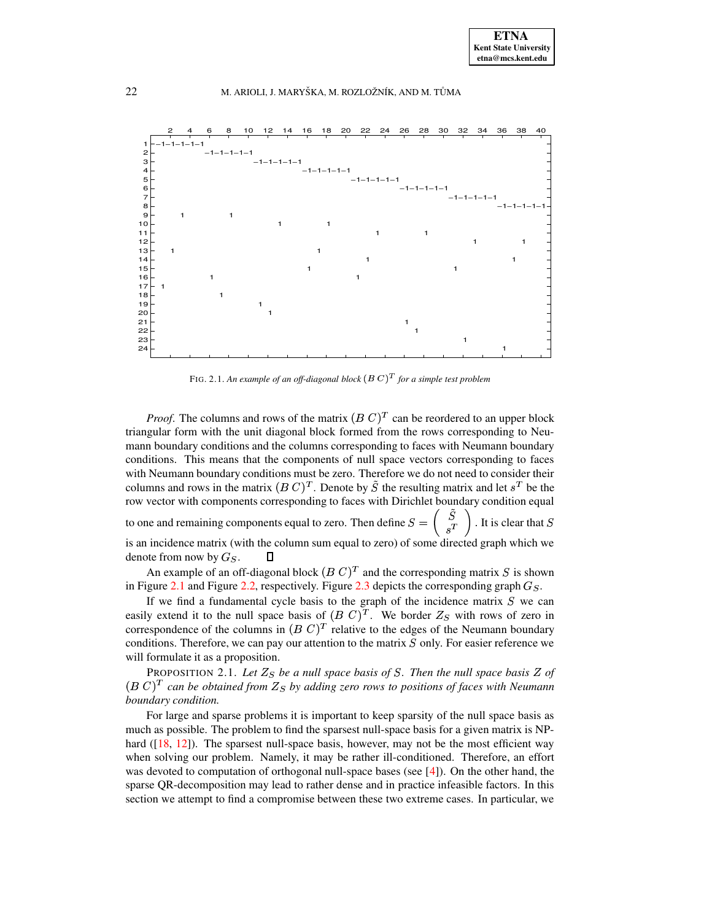

FIG. 2.1. An example of an off-diagonal block  $(B\ C)^T$  for a simple test problem

<span id="page-5-0"></span>*Proof.* The columns and rows of the matrix  $(B C)^T$  can be reordered to an upper block triangular form with the unit diagonal block formed from the rows corresponding to Neumann boundary conditions and the columns corresponding to faces with Neumann boundary conditions. This means that the components of null space vectors corresponding to faces with Neumann boundary conditions must be zero. Therefore we do not need to consider their columns and rows in the matrix  $(B C)^T$ . Denote by  $\tilde{S}$  the resulting matrix and let  $s^T$  be the row vector with components corresponding to faces with Dirichlet boundary condition equal to one and remaining components equal to zero. Then define  $S =$ . It is clear that  $S$ is an incidence matrix (with the column sum equal to zero) of some directed graph which we denote from now by  $G_S$ .  $\Box$ 

An example of an off-diagonal block  $(B\ C)^T$  and the corresponding matrix  $S$  is shown in Figure [2.1](#page-5-0) and Figure [2.2,](#page-6-0) respectively. Figure [2.3](#page-7-0) depicts the corresponding graph  $G_s$ .

If we find a fundamental cycle basis to the graph of the incidence matrix  $S$  we can easily extend it to the null space basis of  $(B\ C)^T$ . We border  $Z_S$  with rows of zero in correspondence of the columns in  $(B\ C)^T$  relative to the edges of the Neumann boundary conditions. Therefore, we can pay our attention to the matrix  $S$  only. For easier reference we will formulate it as a proposition.

PROPOSITION 2.1. Let  $Z_S$  be a null space basis of S. Then the null space basis Z of  $(B\ C)^T$  can be obtained from  $Z_S$  by adding zero rows to positions of faces with Neumann *boundary condition.*

For large and sparse problems it is important to keep sparsity of the null space basis as much as possible. The problem to find the sparsest null-space basis for a given matrix is NPhard ( $[18, 12]$  $[18, 12]$  $[18, 12]$ ). The sparsest null-space basis, however, may not be the most efficient way when solving our problem. Namely, it may be rather ill-conditioned. Therefore, an effort was devoted to computation of orthogonal null-space bases (see [\[4\]](#page-21-3)). On the other hand, the sparse QR-decomposition may lead to rather dense and in practice infeasible factors. In this section we attempt to find a compromise between these two extreme cases. In particular, we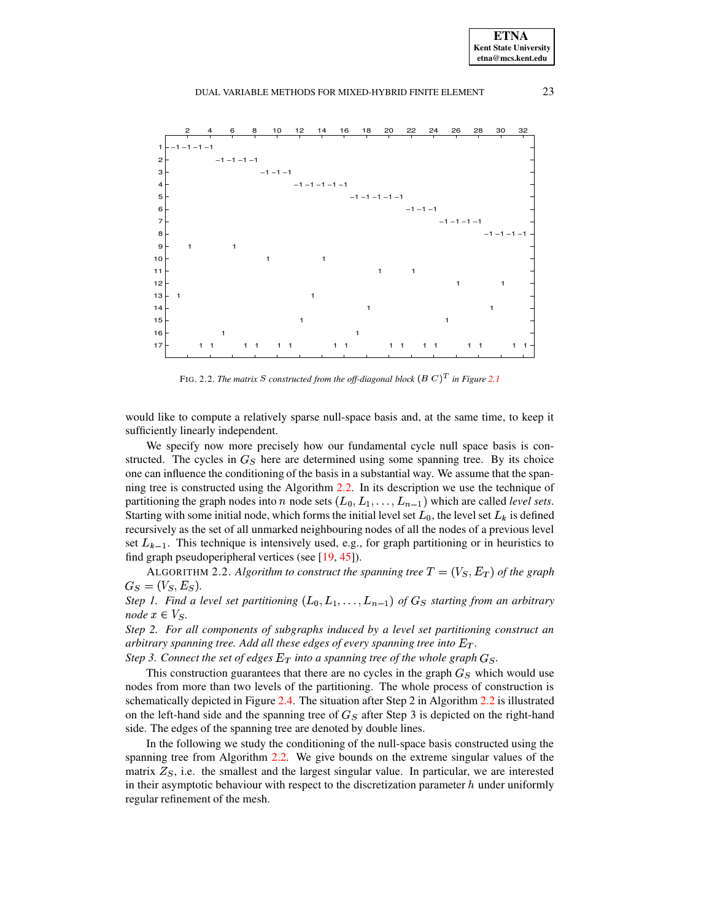

FIG. 2.2. *The matrix S constructed from the off-diagonal block*  $(B\ C)^T$  *in Figure [2.1](#page-5-0)* 

<span id="page-6-0"></span>would like to compute a relatively sparse null-space basis and, at the same time, to keep it sufficiently linearly independent.

We specify now more precisely how our fundamental cycle null space basis is constructed. The cycles in  $G<sub>S</sub>$  here are determined using some spanning tree. By its choice one can influence the conditioning of the basis in a substantial way. We assume that the spanning tree is constructed using the Algorithm [2.2.](#page-6-1) In its description we use the technique of partitioning the graph nodes into *n* node sets  $(L_0, L_1, \ldots, L_{n-1})$  which are called *level sets*. Starting with some initial node, which forms the initial level set  $L_0$ , the level set  $L_k$  is defined recursively as the set of all unmarked neighbouring nodes of all the nodes of a previous level set  $L_{k-1}$ . This technique is intensively used, e.g., for graph partitioning or in heuristics to find graph pseudoperipheral vertices (see [\[19,](#page-22-22) [45\]](#page-22-23)).

<span id="page-6-1"></span>ALGORITHM 2.2. Algorithm to construct the spanning tree  $T = (V_S, E_T)$  of the graph  $G_S = (V_S, E_S).$ 

*Step* 1. Find a level set partitioning  $(L_0, L_1, \ldots, L_{n-1})$  of  $G_S$  starting from an arbitrary *node*  $x \in V_S$ .

*Step 2. For all components of subgraphs induced by a level set partitioning construct an arbitrary spanning tree. Add all these edges of every spanning tree into*  $E_T$ *.* 

*Step* 3. *Connect the set of edges*  $E_T$  *into a spanning tree of the whole graph*  $G_S$ *.* 

This construction guarantees that there are no cycles in the graph  $G<sub>S</sub>$  which would use nodes from more than two levels of the partitioning. The whole process of construction is schematically depicted in Figure [2.4.](#page-7-1) The situation after Step 2 in Algorithm [2.2](#page-6-1) is illustrated on the left-hand side and the spanning tree of  $G<sub>S</sub>$  after Step 3 is depicted on the right-hand side. The edges of the spanning tree are denoted by double lines.

In the following we study the conditioning of the null-space basis constructed using the spanning tree from Algorithm [2.2.](#page-6-1) We give bounds on the extreme singular values of the matrix  $Z<sub>S</sub>$ , i.e. the smallest and the largest singular value. In particular, we are interested in their asymptotic behaviour with respect to the discretization parameter  $h$  under uniformly regular refinement of the mesh.

**ETNA Kent State University etna@mcs.kent.edu**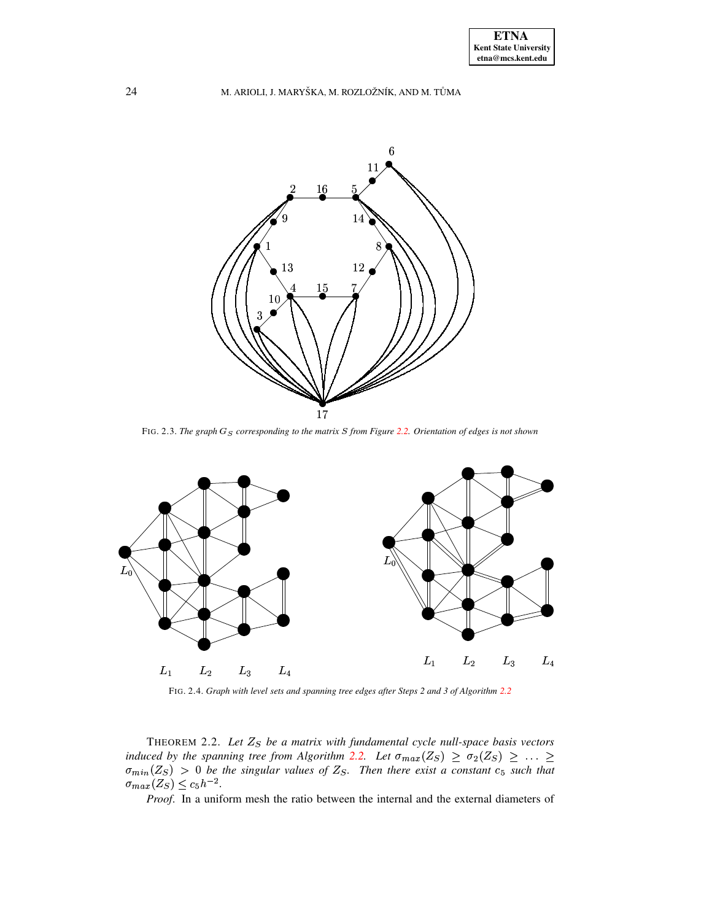

FIG. 2.3. The graph  $G_S$  corresponding to the matrix  $S$  from Figure [2.2.](#page-6-0) Orientation of edges is not shown

<span id="page-7-0"></span>

FIG. 2.4. *Graph with level sets and spanning tree edges after Steps 2 and 3 of Algorithm [2.2](#page-6-1)*

<span id="page-7-2"></span><span id="page-7-1"></span>THEOREM 2.2. *Let* À® *be a matrix with fundamental cycle null-space basis vectors induced by the spanning tree from Algorithm [2.2.](#page-6-1) Let* $\sigma_{max}(Z_S) \geq \sigma_2(Z_S) \geq$ **.** induced by the spanning tree from Algorithm 2.2. Let  $\sigma_{max}(Z_S) \geq \sigma_2(Z_S) \geq \ldots \geq \sigma_{min}(Z_S) > 0$  be the singular values of  $Z_S$ . Then there exist a constant  $c_S$  such that  $\sigma_{min}(Z_S) > 0$  be the singular values of  $Z_S$ . Then there exist a constant  $c_5$  such that  $(Z_S) \leq c_5 h^{-2}$ .

Proof. In a uniform mesh the ratio between the internal and the external diameters of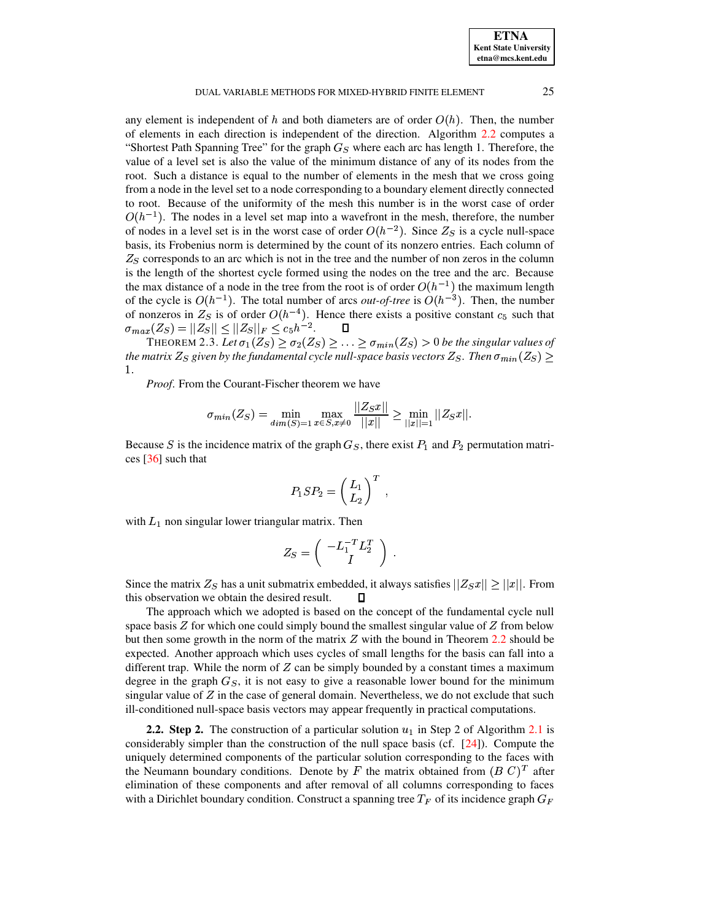### DUAL VARIABLE METHODS FOR MIXED-HYBRID FINITE ELEMENT 25

any element is independent of h and both diameters are of order  $O(h)$ . Then, the number of elements in each direction is independent of the direction. Algorithm [2.2](#page-6-1) computes a "Shortest Path Spanning Tree" for the graph  $G<sub>S</sub>$  where each arc has length 1. Therefore, the value of a level set is also the value of the minimum distance of any of its nodes from the root. Such a distance is equal to the number of elements in the mesh that we cross going from a node in the level set to a node corresponding to a boundary element directly connected to root. Because of the uniformity of the mesh this number is in the worst case of order  $O(h^{-1})$ . The nodes in a level set map into a wavefront in the mesh, therefore, the number of nodes in a level set is in the worst case of order  $O(h^{-2})$ . Since  $Z_s$  is a cycle null-space basis, its Frobenius norm is determined by the count of its nonzero entries. Each column of  $Z<sub>S</sub>$  corresponds to an arc which is not in the tree and the number of non zeros in the column is the length of the shortest cycle formed using the nodes on the tree and the arc. Because the max distance of a node in the tree from the root is of order  $O(h^{-1})$  the maximum length of the cycle is  $O(h^{-1})$ . The total number of arcs *out-of-tree* is  $O(h^{-3})$ . Then, the number of nonzeros in  $Z_S$  is of order  $O(h^{-4})$ . Hence there exists a positive constant  $c_5$  such that  $\|x_{S}(Z_S) = \|Z_S\| \le \|Z_S\|_F \le c_5 h^{-2}.$   $\square$ <br>Theorem 2.3. *Let*  $\sigma_1(Z_S) \ge \sigma_2(Z_S) \ge \dots$ 

 $\sigma_{max}(Z_S) = ||Z_S|| \leq ||Z_S||_F \leq c_5 h^{-2}$ .  $\square$ <br>
THEOREM 2.3. Let  $\sigma_1(Z_S) \geq \sigma_2(Z_S) \geq \ldots \geq \sigma_{min}(Z_S) > 0$  be the singular values of<br>
the matrix  $Z_S$  given by the fundamental cycle null-space basis vectors  $Z_S$ . Then  $\sigma_{min}(Z_S) \geq$ the matrix  $Z_S$  given by the fundamental cycle null-space basis vectors  $Z_S$ . Then  $\sigma_{min}(Z_S) \geq$  $1.$ 

*Proof*. From the Courant-Fischer theorem we have

$$
\sigma_{min}(Z_S) = \min_{dim(S)=1} \max_{x \in S, x \neq 0} \frac{||Z_S x||}{||x||} \ge \min_{||x||=1} ||Z_S x||.
$$

Because S is the incidence matrix of the graph  $G<sub>S</sub>$ , there exist  $P<sub>1</sub>$  and  $P<sub>2</sub>$  permutation matrices [\[36\]](#page-22-24) such that

$$
P_1SP_2=\left(\frac{L_1}{L_2}\right)^T\;,
$$

\*

with  $L_1$  non singular lower triangular matrix. Then

$$
Z_S = \left( \begin{array}{c} -L_1^{-T} L_2^T \\ I \end{array} \right) \; .
$$

Since the matrix  $Z_S$  has a unit submatrix embedded, it always satisfies  $||Z_Sx|| \ge ||x||$ . From this observation we obtain the desired result. П

The approach which we adopted is based on the concept of the fundamental cycle null space basis  $Z$  for which one could simply bound the smallest singular value of  $Z$  from below but then some growth in the norm of the matrix  $Z$  with the bound in Theorem [2.2](#page-7-2) should be expected. Another approach which uses cycles of small lengths for the basis can fall into a different trap. While the norm of  $Z$  can be simply bounded by a constant times a maximum degree in the graph  $G<sub>S</sub>$ , it is not easy to give a reasonable lower bound for the minimum singular value of  $Z$  in the case of general domain. Nevertheless, we do not exclude that such ill-conditioned null-space basis vectors may appear frequently in practical computations.

<span id="page-8-0"></span>**2.2. Step 2.** The construction of a particular solution  $u_1$  in Step 2 of Algorithm [2.1](#page-3-0) is considerably simpler than the construction of the null space basis (cf.  $[24]$ ). Compute the uniquely determined components of the particular solution corresponding to the faces with the Neumann boundary conditions. Denote by F the matrix obtained from  $(B\ C)^T$  after elimination of these components and after removal of all columns corresponding to faces with a Dirichlet boundary condition. Construct a spanning tree  $T_F$  of its incidence graph  $G_F$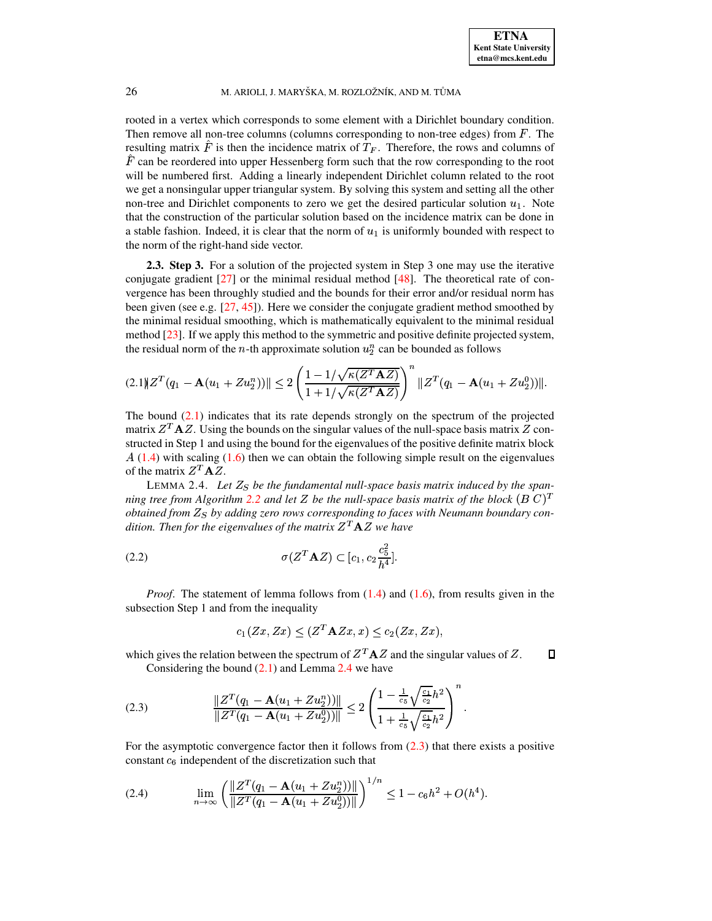rooted in a vertex which corresponds to some element with a Dirichlet boundary condition. Then remove all non-tree columns (columns corresponding to non-tree edges) from  $F$ . The resulting matrix F is then the incidence matrix of  $T_F$ . Therefore, the rows and columns of  $F$  can be reordered into upper Hessenberg form such that the row corresponding to the root will be numbered first. Adding a linearly independent Dirichlet column related to the root we get a nonsingular upper triangular system. By solving this system and setting all the other non-tree and Dirichlet components to zero we get the desired particular solution  $u_1$ . Note that the construction of the particular solution based on the incidence matrix can be done in a stable fashion. Indeed, it is clear that the norm of  $u_1$  is uniformly bounded with respect to the norm of the right-hand side vector.

**2.3. Step 3.** For a solution of the projected system in Step 3 one may use the iterative conjugate gradient  $[27]$  or the minimal residual method  $[48]$ . The theoretical rate of convergence has been throughly studied and the bounds for their error and/or residual norm has been given (see e.g.  $[27, 45]$  $[27, 45]$  $[27, 45]$ ). Here we consider the conjugate gradient method smoothed by the minimal residual smoothing, which is mathematically equivalent to the minimal residual method [\[23\]](#page-22-27). If we apply this method to the symmetric and positive definite projected system, the residual norm of the *n*-th approximate solution  $u_2^n$  can be bounded as follows

<span id="page-9-0"></span>
$$
(2.1)\|Z^T(q_1-\mathbf{A}(u_1+Zu_2^n))\|\leq 2\left(\frac{1-1/\sqrt{\kappa(Z^T\mathbf{A}Z)}}{1+1/\sqrt{\kappa(Z^T\mathbf{A}Z)}}\right)^n\|Z^T(q_1-\mathbf{A}(u_1+Zu_2^0))\|.
$$

The bound [\(2.1\)](#page-9-0) indicates that its rate depends strongly on the spectrum of the projected matrix  $Z<sup>T</sup> A Z$ . Using the bounds on the singular values of the null-space basis matrix  $Z$  constructed in Step 1 and using the bound for the eigenvalues of the positive definite matrix block  $A(1.4)$  $A(1.4)$  with scaling [\(1.6\)](#page-2-0) then we can obtain the following simple result on the eigenvalues of the matrix  $Z^T A Z$ .

<span id="page-9-1"></span>LEMMA 2.4. Let  $Z_s$  be the fundamental null-space basis matrix induced by the span*ning tree from* Algorithm [2.2](#page-6-1) and let Z be the null-space basis matrix of the block  $(B C)^T$ *obtained from* ½® *by adding zero rows corresponding to faces with Neumann boundary con* $d$ ition. Then for the eigenvalues of the matrix  $Z^T\mathbf{A} Z$  we have

(2.2) 
$$
\sigma(Z^T \mathbf{A} Z) \subset [c_1, c_2 \frac{c_5^2}{h^4}].
$$

*Proof.* The statement of lemma follows from  $(1.4)$  and  $(1.6)$ , from results given in the subsection Step 1 and from the inequality

$$
c_1(Zx, Zx) \le (Z^T \mathbf{A} Zx, x) \le c_2(Zx, Zx),
$$

which gives the relation between the spectrum of  $Z<sup>T</sup>AZ$  and the singular values of Z.  $\Box$ Considering the bound  $(2.1)$  and Lemma [2.4](#page-9-1) we have

<span id="page-9-2"></span>
$$
(2.3) \qquad \frac{\|Z^T(q_1 - \mathbf{A}(u_1 + Zu_2^n))\|}{\|Z^T(q_1 - \mathbf{A}(u_1 + Zu_2^n))\|} \leq 2\left(\frac{1 - \frac{1}{c_5}\sqrt{\frac{c_1}{c_2}}h^2}{1 + \frac{1}{c_5}\sqrt{\frac{c_1}{c_2}}h^2}\right)^n.
$$

For the asymptotic convergence factor then it follows from [\(2.3\)](#page-9-2) that there exists a positive constant  $c_6$  independent of the discretization such that

$$
(2.4) \qquad \lim_{n\to\infty}\left(\frac{\|Z^T(q_1-\mathbf{A}(u_1+Zu_2^n))\|}{\|Z^T(q_1-\mathbf{A}(u_1+Zu_2^0))\|}\right)^{1/n}\leq 1-c_6h^2+O(h^4).
$$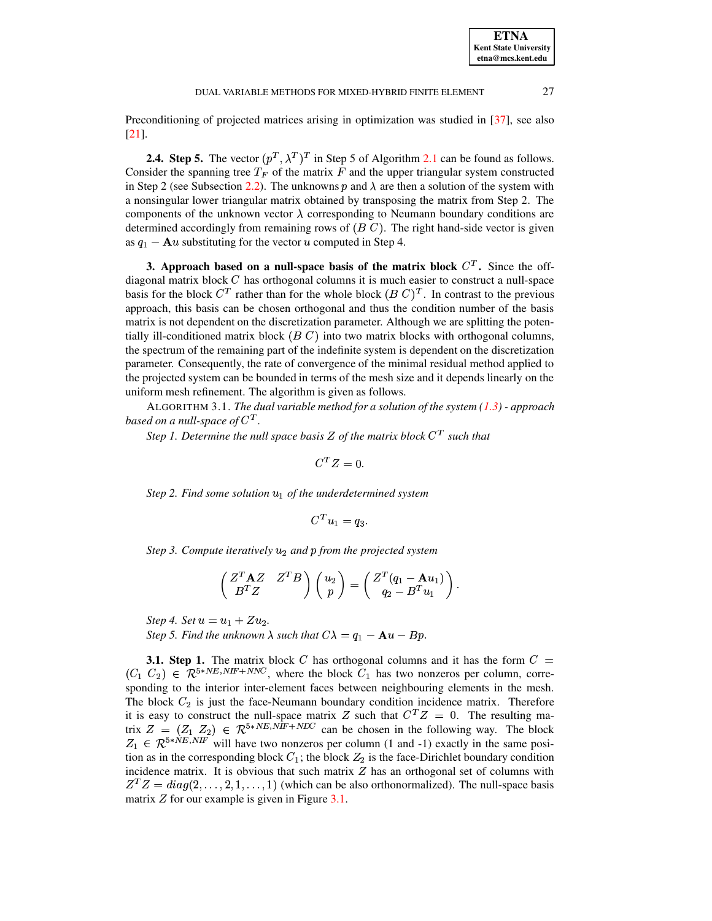Preconditioning of projected matrices arising in optimization was studied in [\[37\]](#page-22-28), see also [\[21\]](#page-22-29).

**2.4. Step 5.** The vector  $(p^T, \lambda^T)^T$  in Step 5 of Algorithm [2.1](#page-3-0) can be found as follows. Consider the spanning tree  $T_F$  of the matrix F and the upper triangular system constructed in Step 2 (see Subsection [2.2\)](#page-8-0). The unknowns p and  $\lambda$  are then a solution of the system with a nonsingular lower triangular matrix obtained by transposing the matrix from Step 2. The components of the unknown vector  $\lambda$  corresponding to Neumann boundary conditions are determined accordingly from remaining rows of  $(B\ C)$ . The right hand-side vector is given as  $q_1 - Au$  substituting for the vector u computed in Step 4.

<span id="page-10-1"></span>**3. Approach based** on a null-space basis of the matrix block  $C<sup>T</sup>$ . Since the offdiagonal matrix block  $C$  has orthogonal columns it is much easier to construct a null-space basis for the block  $C<sup>T</sup>$  rather than for the whole block  $(B C)<sup>T</sup>$ . In contrast to the previous approach, this basis can be chosen orthogonal and thus the condition number of the basis matrix is not dependent on the discretization parameter. Although we are splitting the potentially ill-conditioned matrix block  $(B C)$  into two matrix blocks with orthogonal columns, the spectrum of the remaining part of the indefinite system is dependent on the discretization parameter. Consequently, the rate of convergence of the minimal residual method applied to the projected system can be bounded in terms of the mesh size and it depends linearly on the uniform mesh refinement. The algorithm is given as follows.

<span id="page-10-0"></span>ALGORITHM 3.1. *The dual variable method for a solution of the system [\(1.3\)](#page-1-0) - approach* based on a null-space of  $C^T.$ 

*Step* 1. Determine the *null* space basis Z of the matrix block  $C<sup>T</sup>$  such that

$$
C^T Z = 0.
$$

*Step* 2. Find some solution  $u_1$  of the underdetermined system

$$
C^T u_1 = q_3.
$$

*Step* 3. Compute *iteratively*  $u_2$  *and*  $p$  *from the projected system* 

$$
\begin{pmatrix} Z^T \mathbf{A} Z & Z^T B \\ B^T Z & \end{pmatrix} \begin{pmatrix} u_2 \\ p \end{pmatrix} = \begin{pmatrix} Z^T (q_1 - \mathbf{A} u_1) \\ q_2 - B^T u_1 \end{pmatrix}.
$$

*Step 4. Set*  $u = u_1 + Zu_2$ .

*Step* 5. Find the unknown  $\lambda$  such that  $C\lambda = q_1 - \mathbf{A}u - Bp$ .

**3.1. Step 1.** The matrix block C has orthogonal columns and it has the form  $C =$  $(C_1 \ C_2) \in \mathcal{R}^{5*NE,NIF+NNC}$ , where the block  $C_1$  has two nonzeros per column, corresponding to the interior inter-element faces between neighbouring elements in the mesh. The block  $C_2$  is just the face-Neumann boundary condition incidence matrix. Therefore it is easy to construct the null-space matrix Z such that  $C<sup>T</sup>Z = 0$ . The resulting matrix  $Z = (Z_1 \ Z_2) \in \mathbb{R}^{5*NE,NIF+NIV}$  can be chosen in the following way. The block  $Z_1 \in \mathcal{R}^{5*NE, NF}$  will have two nonzeros per column (1 and -1) exactly in the same position as in the corresponding block  $C_1$ ; the block  $Z_2$  is the face-Dirichlet boundary condition incidence matrix. It is obvious that such matrix  $Z$  has an orthogonal set of columns with \_\_\_\_\_\_\_\_\_  ${}^{T}Z = diag(2, \ldots, 2, 1, \ldots, 1)$  (which can be also orthonormalized). The null-space basis matrix  $Z$  for our example is given in Figure [3.1.](#page-11-0)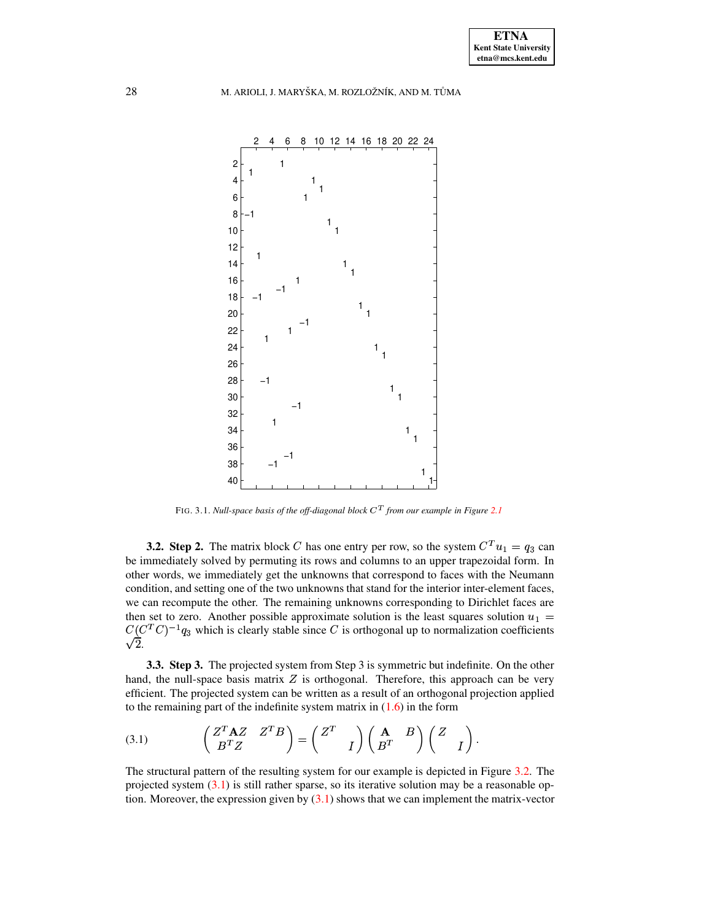

FIG. 3.1. *Null-space basis of the off-diagonal block* ²´ *from our example in Figure [2.1](#page-5-0)*

<span id="page-11-0"></span>**3.2. Step 2.** The matrix block C has one entry per row, so the system  $C^{T}u_1 = q_3$  can be immediately solved by permuting its rows and columns to an upper trapezoidal form. In other words, we immediately get the unknowns that correspond to faces with the Neumann condition, and setting one of the two unknowns that stand for the interior inter-element faces, we can recompute the other. The remaining unknowns corresponding to Dirichlet faces are then set to zero. Another possible approximate solution is the least squares solution  $u_1 =$  $C (C^T C)^{-1} q_3$  which is clearly stable since C is orthogonal up to normalization coefficients  $\sqrt{2}$ .

<span id="page-11-2"></span>**3.3. Step 3.** The projected system from Step 3 is symmetric but indefinite. On the other hand, the null-space basis matrix  $Z$  is orthogonal. Therefore, this approach can be very efficient. The projected system can be written as a result of an orthogonal projection applied to the remaining part of the indefinite system matrix in  $(1.6)$  in the form

<span id="page-11-1"></span>(3.1) 
$$
\begin{pmatrix} Z^T \mathbf{A} Z & Z^T B \ B^T Z & I \end{pmatrix} = \begin{pmatrix} Z^T & I \ I \end{pmatrix} \begin{pmatrix} \mathbf{A} & B \ B^T & I \end{pmatrix} \begin{pmatrix} Z & I \ I \end{pmatrix}.
$$

The structural pattern of the resulting system for our example is depicted in Figure [3.2.](#page-12-0) The projected system  $(3.1)$  is still rather sparse, so its iterative solution may be a reasonable option. Moreover, the expression given by  $(3.1)$  shows that we can implement the matrix-vector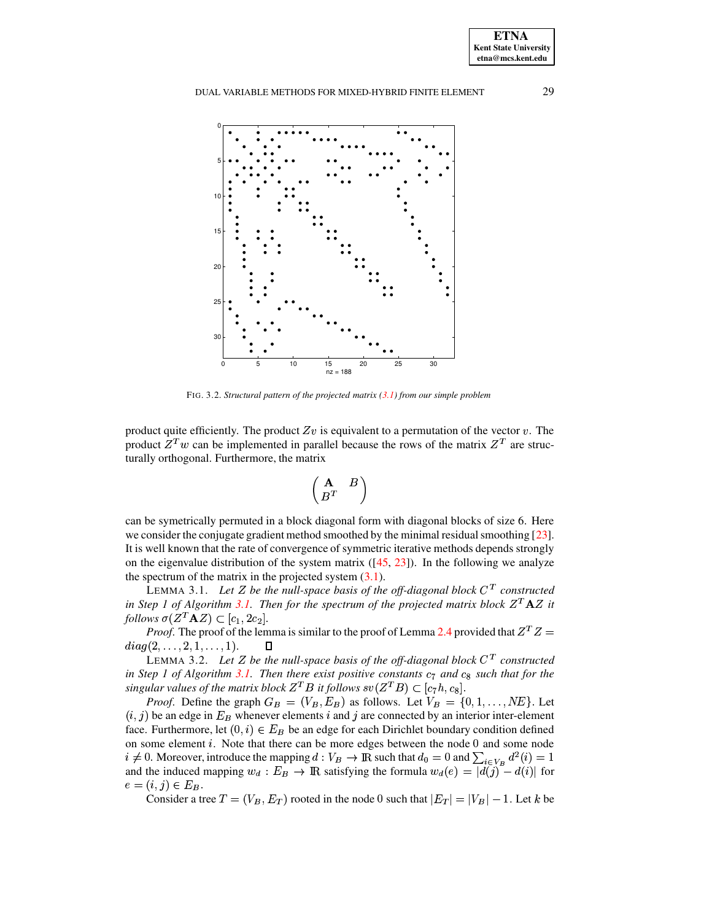

FIG. 3.2. *Structural pattern of the projected matrix [\(3.1\)](#page-11-1) from our simple problem*

<span id="page-12-0"></span>product quite efficiently. The product  $Zv$  is equivalent to a permutation of the vector v. The product  $Z^T w$  can be implemented in parallel because the rows of the matrix  $Z^T$  are structurally orthogonal. Furthermore, the matrix

$$
\begin{pmatrix} \mathbf{A} & B \\ B^T & \end{pmatrix}
$$

can be symetrically permuted in a block diagonal form with diagonal blocks of size 6. Here we consider the conjugate gradient method smoothed by the minimal residual smoothing  $[23]$ . It is well known that the rate of convergence of symmetric iterative methods depends strongly on the eigenvalue distribution of the system matrix  $([45, 23])$  $([45, 23])$  $([45, 23])$  $([45, 23])$  $([45, 23])$ . In the following we analyze the spectrum of the matrix in the projected system  $(3.1)$ .

<span id="page-12-1"></span>LEMMA 3.1. Let *Z* be the null-space basis of the off-diagonal block  $C<sup>T</sup>$  constructed *in Step 1 of Algorithm* [3.1.](#page-10-0) *Then for the spectrum of the projected matrix block*  $Z^T A Z$  *it follows*  $\sigma(Z^T A Z) \subset [c_1, 2c_2]$ .  $(Z^T \mathbf{A} Z) \subset [c_1, 2c_2].$ 

*Proof.* The proof of the lemma is similar to the proof of Lemma [2.4](#page-9-1) provided that  $Z^T Z =$  $diag(2,\ldots,2,1,\ldots,1).$  |

<span id="page-12-2"></span>LEMMA 3.2. Let Z be the null-space basis of the off-diagonal block  $C<sup>T</sup>$  constructed *in Step 1 of Algorithm* [3.1.](#page-10-0) *Then there exist positive constants*  $c_7$  *and*  $c_8$  *such that for the*  $s$ ingular values of the matrix block  $Z^TB$  it follows  $sv(Z^TB)\subset [c_7h,c_8].$ 

*Proof.* Define the graph  $G_B = (V_B, E_B)$  as follows. Let  $V_B = \{0, 1, ..., NE\}$ . Let  $(i, j)$  be an edge in  $E_B$  whenever elements i and j are connected by an interior inter-element face. Furthermore, let  $(0, i) \in E_B$  be an edge for each Dirichlet boundary condition defined on some element  $i$ . Note that there can be more edges between the node  $0$  and some node  $i \neq 0$ . Moreover, introduce the mapping  $d: V_B \to \mathbb{R}$  such that  $d_0 = 0$  and  $\sum_{i \in V_B} \phi_i$ ode 0 and some node<br>and  $\sum_{i \in V_p} d^2(i) = 1$ and the induced mapping  $w_d : E_B \to \mathbb{R}$  satisfying the formula  $w_d(e) = |d(j) - d(i)|$  for  $e = (i, j) \in E_R$ .

Consider a tree  $T = (V_B, E_T)$  rooted in the node 0 such that  $|E_T| = |V_B| - 1$ . Let k be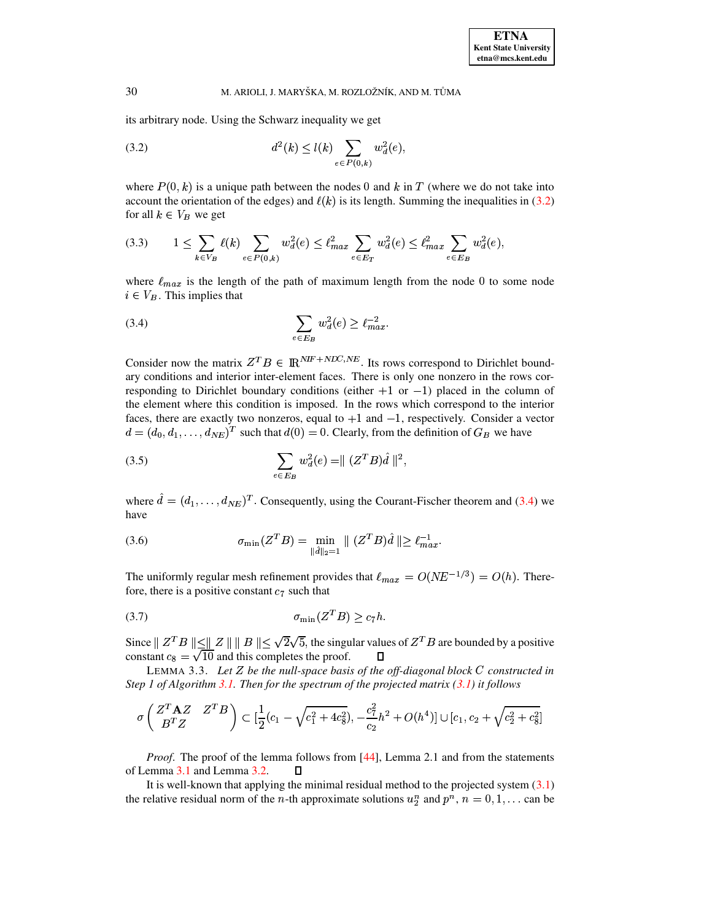its arbitrary node. Using the Schwarz inequality we get

<span id="page-13-0"></span>(3.2) 
$$
d^{2}(k) \leq l(k) \sum_{e \in P(0,k)} w_d^{2}(e),
$$

where  $P(0, k)$  is a unique path between the nodes 0 and k in T (where we do not take into account the orientation of the edges) and  $\ell(k)$  is its length. Summing the inequalities in [\(3.2\)](#page-13-0) for all  $k \in V_B$  we get

$$
(3.3) \qquad 1 \le \sum_{k \in V_B} \ell(k) \sum_{e \in P(0,k)} w_d^2(e) \le \ell_{max}^2 \sum_{e \in E_T} w_d^2(e) \le \ell_{max}^2 \sum_{e \in E_B} w_d^2(e),
$$

where  $\ell_{max}$  is the length of the path of maximum length from the node 0 to some node  $i \in V_B$ . This implies that

<span id="page-13-1"></span>(3.4) 
$$
\sum_{e \in E_B} w_d^2(e) \ge \ell_{max}^{-2}.
$$

Consider now the matrix  $Z^T B \in \mathbb{R}^{NIF + NIC,NE}$ . Its rows correspond to Dirichlet boundary conditions and interior inter-element faces. There is only one nonzero in the rows corresponding to Dirichlet boundary conditions (either  $+1$  or  $-1$ ) placed in the column of the element where this condition is imposed. In the rows which correspond to the interior faces, there are exactly two nonzeros, equal to  $+1$  and  $-1$ , respectively. Consider a vector  $d = (d_0, d_1, \ldots, d_{NE})^T$  such that  $d(0) = 0$ . Clearly, from the definition of  $G_B$  we have

(3.5) 
$$
\sum_{e \in E_B} w_d^2(e) = || (Z^T B) \hat{d} ||^2,
$$

where  $\hat{d} = (d_1, \ldots, d_{NE})^T$ . Consequently, using the Courant-Fischer theorem and [\(3.4\)](#page-13-1) we have

(3.6) 
$$
\sigma_{\min}(Z^T B) = \min_{\|\vec{d}\|_2 = 1} \| (Z^T B) \hat{d} \| \ge \ell_{max}^{-1}.
$$

The uniformly regular mesh refinement provides that  $\ell_{max} = O(NE^{-1/3}) = O(h)$ . Therefore, there is a positive constant  $c_7$  such that

$$
\sigma_{\min}(Z^T B) \ge c_7 h.
$$

Since  $\parallel Z^T B \parallel \leq \parallel Z \parallel \parallel B \parallel \leq \sqrt{2} \cdot$  $\| \parallel B \parallel \leq \sqrt{2} \sqrt{5}$ , the singular values of  $Z^T B$  are bounded by a positive constant  $c_8 = \sqrt{10}$  and this completes the proof.  $\mathbf{\Pi}$ 

LEMMA 3.3. *Let be the null-space basis of the off-diagonal block* <sup>G</sup> *constructed in Step 1 of Algorithm [3.1.](#page-10-0) Then for the spectrum of the projected matrix [\(3.1\)](#page-11-1) it follows*

$$
\sigma\left(\begin{matrix} Z^T \mathbf{A} Z & Z^T B \\ B^T Z & \end{matrix}\right) \subset [\frac{1}{2}(c_1 - \sqrt{c_1^2 + 4c_8^2}), -\frac{c_7^2}{c_2}h^2 + O(h^4)] \cup [c_1, c_2 + \sqrt{c_2^2 + c_8^2}]
$$

*Proof.* The proof of the lemma follows from [\[44\]](#page-22-30), Lemma 2.1 and from the statements of Lemma [3.1](#page-12-1) and Lemma [3.2.](#page-12-2)  $\Box$ 

It is well-known that applying the minimal residual method to the projected system  $(3.1)$ the relative residual norm of the *n*-th approximate solutions  $u_2^n$  and  $p^n$ ,  $n = 0, 1, \ldots$  can be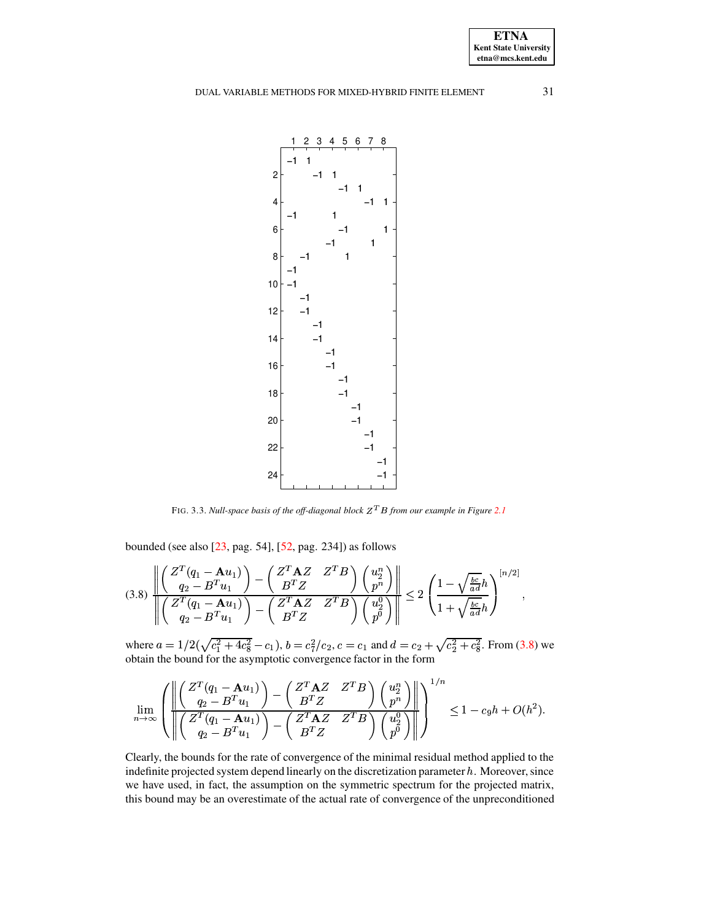**ETNA Kent State University etna@mcs.kent.edu**

# DUAL VARIABLE METHODS FOR MIXED-HYBRID FINITE ELEMENT 31



FIG. 3.3. *Null-space basis of the off-diagonal block*  $Z^T B$  *from our example in Figure* [2.1](#page-5-0)

bounded (see also [\[23,](#page-22-27) pag. 54], [\[52,](#page-23-3) pag. 234]) as follows

<span id="page-14-0"></span>
$$
(3.8)\ \frac{\left\|\left(\begin{matrix}Z^T(q_1 - \mathbf{A}u_1) \\ q_2 - B^T u_1\end{matrix}\right) - \left(\begin{matrix}Z^T \mathbf{A}Z & Z^T B \\ B^T Z\end{matrix}\right)\left(\begin{matrix}u_2^n \\ p^n\end{matrix}\right)\right\|}{\left\|\left(\begin{matrix}Z^T(q_1 - \mathbf{A}u_1) \\ q_2 - B^T u_1\end{matrix}\right) - \left(\begin{matrix}Z^T \mathbf{A}Z & Z^T B \\ B^T Z\end{matrix}\right)\left(\begin{matrix}u_2^0 \\ p^6\end{matrix}\right)\right\|} \leq 2\left(\frac{1 - \sqrt{\frac{bc}{ad}}h}{1 + \sqrt{\frac{bc}{ad}}h}\right)^{[n/2]},
$$

where  $a = 1/2(\sqrt{c_1^2 + 4c_8^2} - c_1)$ ,  $b = c_1$  $\frac{2}{1} + 4c_8^2 - c_1$ ),  $b =$  $\frac{2}{8} - c_1$ ),  $b = c_7^2/c_2$ ,  $c = c_1$  $\frac{2}{7}/c_2$ ,  $c = c_1$  and  $d = c_2 + \sqrt{c_2^2 + c_8^2}$ . From (3.8) v  $\frac{2}{2} + c_8^2$ . From (3.8) <sup>N</sup>  $\frac{2}{8}$ . From [\(3.8\)](#page-14-0) we obtain the bound for the asymptotic convergence factor in the form

$$
\lim_{n\to\infty}\left(\frac{\left\|\left(\frac{Z^T(q_1-\mathbf{A}u_1)}{q_2-B^Tu_1}\right)-\left(\frac{Z^T\mathbf{A}Z}{B^TZ}\right)\left(\frac{u_2^n}{p^n}\right)\right\|}{\left\|\left(\frac{Z^T(q_1-\mathbf{A}u_1)}{q_2-B^Tu_1}\right)-\left(\frac{Z^T\mathbf{A}Z}{B^TZ}\right)\left(\frac{u_2^n}{p^0}\right)\right\|}\right)^{1/n}\leq 1-c_9h+O(h^2).
$$

Clearly, the bounds for the rate of convergence of the minimal residual method applied to the indefinite projected system depend linearly on the discretization parameter  $h$ . Moreover, since we have used, in fact, the assumption on the symmetric spectrum for the projected matrix, this bound may be an overestimate of the actual rate of convergence of the unpreconditioned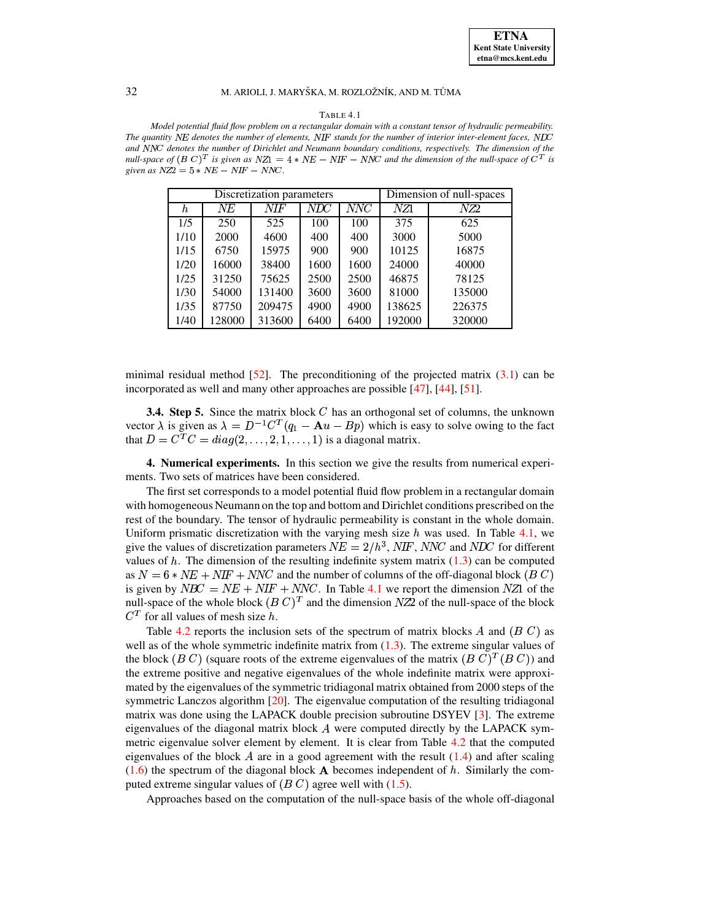#### TABLE 4.1

<span id="page-15-0"></span>*Model potential fluid flow problem on a rectangular domain with a constant tensor of hydraulic permeability. The* quantity NE denotes the number of elements, NIF stands for the number of interior inter-element faces, NDC  $and$  *NNC* denotes the number of Dirichlet and Neumann boundary conditions, respectively. The dimension of the *null-space* of  $(B C)^T$  *is* given as  $NZ1 = 4 * NE - NIF - NNC$  and the dimension of the null-space of  $C^T$  *is*  $given$   $as$   $NZ2 = 5 * NE - NIF - NNC$ .

|      |        | Discretization parameters | Dimension of null-spaces |                  |        |        |  |
|------|--------|---------------------------|--------------------------|------------------|--------|--------|--|
| h    | NE     | NIF                       | $\overline{N\!D\!C}$     | $\overline{NNC}$ | NZ1    | NZ2    |  |
| 1/5  | 250    | 525                       | 100                      | 100              | 375    | 625    |  |
| 1/10 | 2000   | 4600                      | 400                      | 400              | 3000   | 5000   |  |
| 1/15 | 6750   | 15975                     | 900                      | 900              | 10125  | 16875  |  |
| 1/20 | 16000  | 38400                     | 1600                     | 1600             | 24000  | 40000  |  |
| 1/25 | 31250  | 75625                     | 2500                     | 2500             | 46875  | 78125  |  |
| 1/30 | 54000  | 131400                    | 3600                     | 3600             | 81000  | 135000 |  |
| 1/35 | 87750  | 209475                    | 4900                     | 4900             | 138625 | 226375 |  |
| 1/40 | 128000 | 313600                    | 6400                     | 6400             | 192000 | 320000 |  |

minimal residual method  $[52]$ . The preconditioning of the projected matrix  $(3.1)$  can be incorporated as well and many other approaches are possible [\[47\]](#page-22-4), [\[44\]](#page-22-30), [\[51\]](#page-23-4).

**3.4. Step 5.** Since the matrix block <sup>G</sup> has an orthogonal set of columns, the unknown vector  $\lambda$  is given as  $\lambda = D^{-1}C^{T}(q_1 - Au - Bp)$  which is easy to solve owing to the fact that  $D = C^T C = diag(2, \ldots, 2, 1, \ldots, 1)$  is a diagonal matrix.

**4. Numerical experiments.** In this section we give the results from numerical experiments. Two sets of matrices have been considered.

The first set corresponds to a model potential fluid flow problem in a rectangular domain with homogeneous Neumann on the top and bottom and Dirichlet conditions prescribed on the rest of the boundary. The tensor of hydraulic permeability is constant in the whole domain. Uniform prismatic discretization with the varying mesh size  $h$  was used. In Table [4.1,](#page-15-0) we give the values of discretization parameters  $NE = 2/h^3$ , NIF, NNC and NDC for different values of  $h$ . The dimension of the resulting indefinite system matrix [\(1.3\)](#page-1-0) can be computed as  $N = 6 * NE + NIF + NNC$  and the number of columns of the off-diagonal block  $(B C)$ is given by  $NBC = NE + NIF + NNC$ . In Table [4.1](#page-15-0) we report the dimension NZ1 of the null-space of the whole block  $(B C)^T$  and the dimension  $NZ2$  of the null-space of the block  $C<sup>T</sup>$  for all values of mesh size h.

Table [4.2](#page-16-0) reports the inclusion sets of the spectrum of matrix blocks  $A$  and  $(B C)$  as well as of the whole symmetric indefinite matrix from  $(1.3)$ . The extreme singular values of the block (*B C*) (square roots of the extreme eigenvalues of the matrix (*B C*)<sup>*T*</sup>(*B C*)) and the extreme positive and negative eigenvalues of the whole indefinite matrix were approximated by the eigenvalues of the symmetric tridiagonal matrix obtained from 2000 steps of the symmetric Lanczos algorithm [\[20\]](#page-22-31). The eigenvalue computation of the resulting tridiagonal matrix was done using the LAPACK double precision subroutine DSYEV [\[3\]](#page-21-13). The extreme eigenvalues of the diagonal matrix block  $A$  were computed directly by the LAPACK symmetric eigenvalue solver element by element. It is clear from Table [4.2](#page-16-0) that the computed eigenvalues of the block  $\vec{A}$  are in a good agreement with the result [\(1.4\)](#page-1-1) and after scaling  $(1.6)$  the spectrum of the diagonal block **A** becomes independent of  $h$ . Similarly the computed extreme singular values of  $(B C)$  agree well with  $(1.5)$ .

Approaches based on the computation of the null-space basis of the whole off-diagonal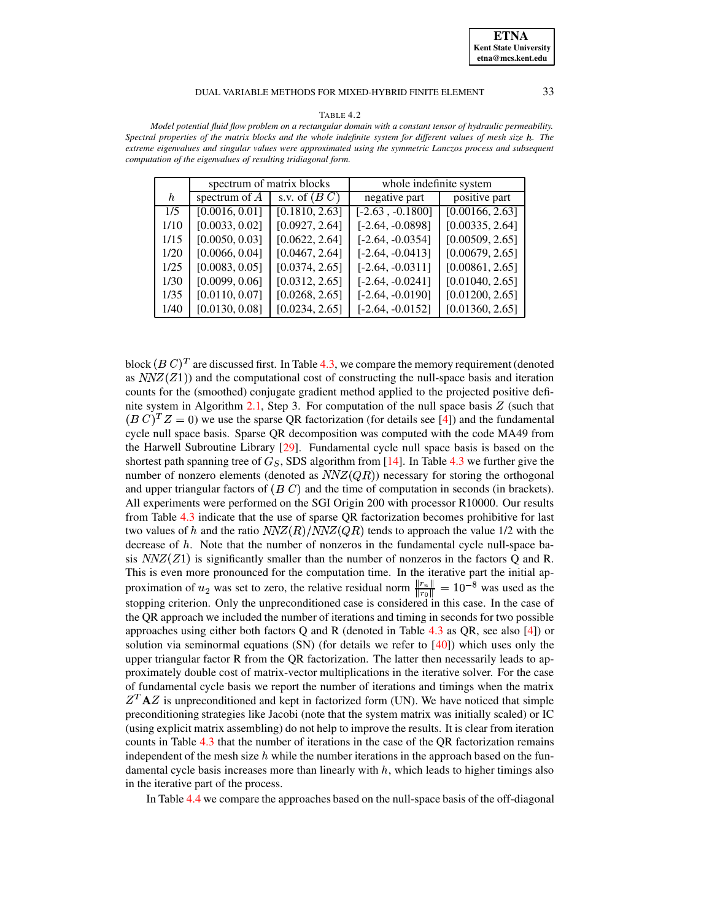### DUAL VARIABLE METHODS FOR MIXED-HYBRID FINITE ELEMENT 33

#### TABLE 4.2

<span id="page-16-0"></span>*Model potential fluid flow problem on a rectangular domain with a constant tensor of hydraulic permeability.* Spectral properties of the matrix blocks and the whole indefinite system for different values of mesh size h. The *extreme eigenvalues and singular values were approximated using the symmetric Lanczos process and subsequent computation of the eigenvalues of resulting tridiagonal form.*

|      |                            | spectrum of matrix blocks | whole indefinite system |                 |  |
|------|----------------------------|---------------------------|-------------------------|-----------------|--|
| h    | spectrum of $\overline{A}$ | s.v. of $(B C)$           | negative part           | positive part   |  |
| 1/5  | [0.0016, 0.01]             | [0.1810, 2.63]            | $[-2.63, -0.1800]$      | [0.00166, 2.63] |  |
| 1/10 | [0.0033, 0.02]             | [0.0927, 2.64]            | $[-2.64, -0.0898]$      | [0.00335, 2.64] |  |
| 1/15 | [0.0050, 0.03]             | [0.0622, 2.64]            | $[-2.64, -0.0354]$      | [0.00509, 2.65] |  |
| 1/20 | [0.0066, 0.04]             | [0.0467, 2.64]            | $[-2.64, -0.0413]$      | [0.00679, 2.65] |  |
| 1/25 | [0.0083, 0.05]             | [0.0374, 2.65]            | $[-2.64, -0.0311]$      | [0.00861, 2.65] |  |
| 1/30 | [0.0099, 0.06]             | [0.0312, 2.65]            | $[-2.64, -0.0241]$      | [0.01040, 2.65] |  |
| 1/35 | [0.0110, 0.07]             | [0.0268, 2.65]            | $[-2.64, -0.0190]$      | [0.01200, 2.65] |  |
| 1/40 | [0.0130, 0.08]             | [0.0234, 2.65]            | $[-2.64, -0.0152]$      | [0.01360, 2.65] |  |

block  $(B\,C)^T$  are discussed first. In Table [4.3,](#page-17-0) we compare the memory requirement (denoted as  $NNZ(Z1)$ ) and the computational cost of constructing the null-space basis and iteration counts for the (smoothed) conjugate gradient method applied to the projected positive defi-nite system in Algorithm [2.1,](#page-3-0) Step 3. For computation of the null space basis  $Z$  (such that  $(B C)^T Z = 0$ ) we use the sparse QR factorization (for details see [\[4\]](#page-21-3)) and the fundamental cycle null space basis. Sparse QR decomposition was computed with the code MA49 from the Harwell Subroutine Library [\[29\]](#page-22-32). Fundamental cycle null space basis is based on the shortest path spanning tree of  $G<sub>S</sub>$ , SDS algorithm from [\[14\]](#page-21-8). In Table [4.3](#page-17-0) we further give the number of nonzero elements (denoted as  $NNZ(QR)$ ) necessary for storing the orthogonal and upper triangular factors of  $(B C)$  and the time of computation in seconds (in brackets). All experiments were performed on the SGI Origin 200 with processor R10000. Our results from Table [4.3](#page-17-0) indicate that the use of sparse QR factorization becomes prohibitive for last two values of h and the ratio  $NNZ(R)/NNZ(QR)$  tends to approach the value 1/2 with the decrease of  $h$ . Note that the number of nonzeros in the fundamental cycle null-space basis  $NNZ(Z1)$  is significantly smaller than the number of nonzeros in the factors Q and R. This is even more pronounced for the computation time. In the iterative part the initial approximation of  $u_2$  was set to zero, the relative residual norm  $\frac{||r_n||}{||r_n||} = 10^{-8}$  was used as the stopping criterion. Only the unpreconditioned case is considered in this case. In the case of the QR approach we included the number of iterations and timing in seconds for two possible approaches using either both factors Q and R (denoted in Table  $4.3$  as QR, see also [\[4\]](#page-21-3)) or solution via seminormal equations  $(SN)$  (for details we refer to  $[40]$ ) which uses only the upper triangular factor R from the QR factorization. The latter then necessarily leads to approximately double cost of matrix-vector multiplications in the iterative solver. For the case of fundamental cycle basis we report the number of iterations and timings when the matrix \_\_\_\_\_\_\_\_  ${}^{T}$ **A** $Z$  is unpreconditioned and kept in factorized form (UN). We have noticed that simple preconditioning strategies like Jacobi (note that the system matrix was initially scaled) or IC (using explicit matrix assembling) do not help to improve the results. It is clear from iteration counts in Table [4.3](#page-17-0) that the number of iterations in the case of the QR factorization remains independent of the mesh size  $h$  while the number iterations in the approach based on the fundamental cycle basis increases more than linearly with  $h$ , which leads to higher timings also in the iterative part of the process.

In Table [4.4](#page-18-0) we compare the approaches based on the null-space basis of the off-diagonal

**ETNA Kent State University etna@mcs.kent.edu**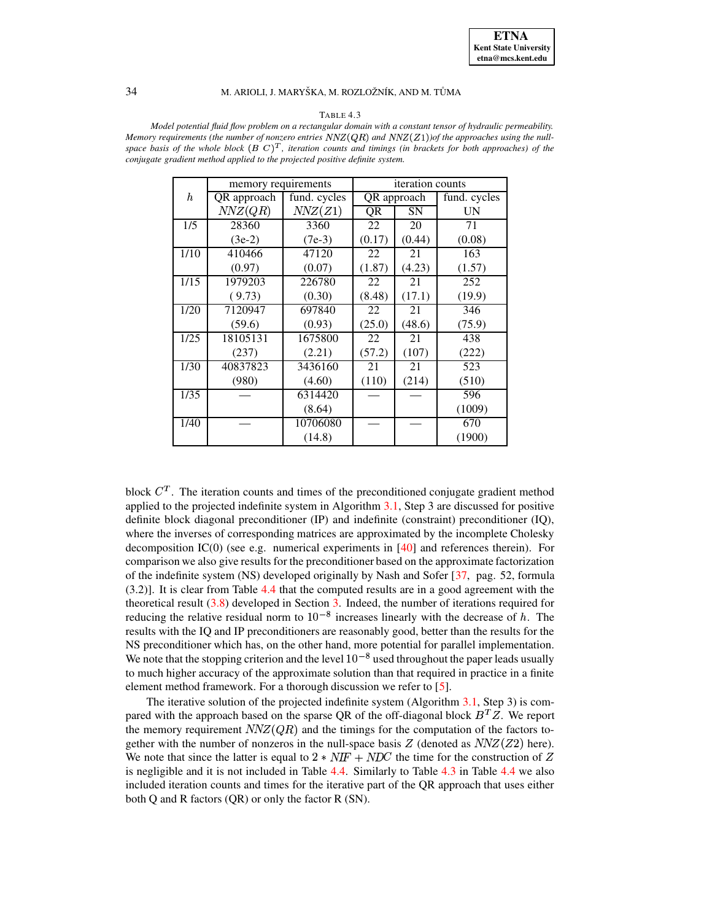#### TABLE 4.3

<span id="page-17-0"></span>*Model potential fluid flow problem on a rectangular domain with a constant tensor of hydraulic permeability. Memory requirements* (the *number* of *nonzero entries*  $NNZ(QR)$  *and*  $NNZ(Z1)$ ) of the approaches using the nullspace basis of the whole block  $(B\ C)^T$ , iteration counts and timings (in brackets for both approaches) of the *conjugate gradient method applied to the projected positive definite system.*

|                  | memory requirements |              | iteration counts |             |              |  |
|------------------|---------------------|--------------|------------------|-------------|--------------|--|
| $\boldsymbol{h}$ | QR approach         | fund. cycles |                  | QR approach | fund. cycles |  |
|                  | NNZ(QR)             | NNZ(Z1)      | QR               | <b>SN</b>   | UN           |  |
| 1/5              | 28360               | 3360         | 22               | 20          | 71           |  |
|                  | $(3e-2)$            | $(7e-3)$     | (0.17)           | (0.44)      | (0.08)       |  |
| 1/10             | 410466              | 47120        | 22               | 21          | 163          |  |
|                  | (0.97)              | (0.07)       | (1.87)           | (4.23)      | (1.57)       |  |
| 1/15             | 1979203             | 226780       | 22               | 21          | 252          |  |
|                  | (9.73)              | (0.30)       | (8.48)           | (17.1)      | (19.9)       |  |
| 1/20             | 7120947             | 697840       | 22               | 21          | 346          |  |
|                  | (59.6)              | (0.93)       | (25.0)           | (48.6)      | (75.9)       |  |
| 1/25             | 18105131            | 1675800      | 22               | 21          | 438          |  |
|                  | (237)               | (2.21)       | (57.2)           | (107)       | (222)        |  |
| 1/30             | 40837823            | 3436160      | 21               | 21          | 523          |  |
|                  | (980)               | (4.60)       | (110)            | (214)       | (510)        |  |
| 1/35             |                     | 6314420      |                  |             | 596          |  |
|                  |                     | (8.64)       |                  |             | (1009)       |  |
| 1/40             |                     | 10706080     |                  |             | 670          |  |
|                  |                     | (14.8)       |                  |             | (1900)       |  |

block  $C<sup>T</sup>$ . The iteration counts and times of the preconditioned conjugate gradient method applied to the projected indefinite system in Algorithm [3.1,](#page-10-0) Step 3 are discussed for positive definite block diagonal preconditioner (IP) and indefinite (constraint) preconditioner (IQ), where the inverses of corresponding matrices are approximated by the incomplete Cholesky decomposition IC(0) (see e.g. numerical experiments in  $[40]$  and references therein). For comparison we also give results for the preconditioner based on the approximate factorization of the indefinite system (NS) developed originally by Nash and Sofer [\[37,](#page-22-28) pag. 52, formula (3.2)]. It is clear from Table [4.4](#page-18-0) that the computed results are in a good agreement with the theoretical result [\(3.8\)](#page-14-0) developed in Section [3.](#page-10-1) Indeed, the number of iterations required for reducing the relative residual norm to  $10^{-8}$  increases linearly with the decrease of h. The results with the IQ and IP preconditioners are reasonably good, better than the results for the NS preconditioner which has, on the other hand, more potential for parallel implementation. We note that the stopping criterion and the level  $10^{-8}$  used throughout the paper leads usually to much higher accuracy of the approximate solution than that required in practice in a finite element method framework. For a thorough discussion we refer to [\[5\]](#page-21-14).

The iterative solution of the projected indefinite system (Algorithm [3.1,](#page-10-0) Step 3) is compared with the approach based on the sparse QR of the off-diagonal block  $B<sup>T</sup>Z$ . We report the memory requirement  $NNZ(QR)$  and the timings for the computation of the factors together with the number of nonzeros in the null-space basis  $Z$  (denoted as  $NNZ(Z2)$  here). We note that since the latter is equal to  $2 * NIF + NDC$  the time for the construction of Z is negligible and it is not included in Table [4.4.](#page-18-0) Similarly to Table [4.3](#page-17-0) in Table [4.4](#page-18-0) we also included iteration counts and times for the iterative part of the QR approach that uses either both Q and R factors (QR) or only the factor R (SN).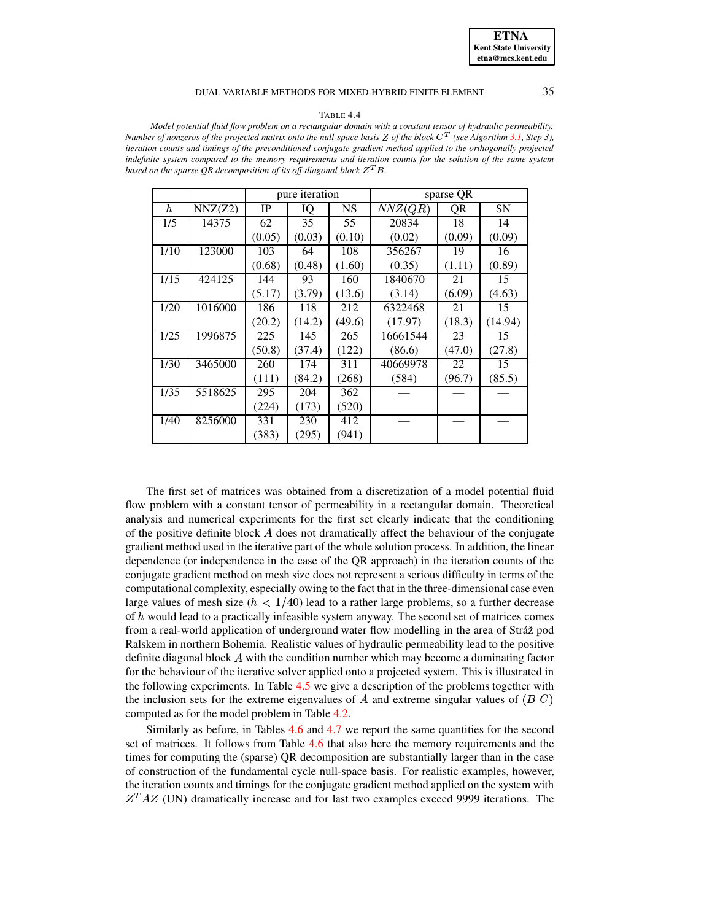### **ETNA Kent State University etna@mcs.kent.edu**

### DUAL VARIABLE METHODS FOR MIXED-HYBRID FINITE ELEMENT 35

#### TABLE 4.4

<span id="page-18-0"></span>*Model potential fluid flow problem on a rectangular domain with a constant tensor of hydraulic permeability.* Number of nonzeros of the projected matrix onto the null-space basis Z of the block  $C<sup>T</sup>$  (see Algorithm [3.1,](#page-10-0) Step 3), *iteration counts and timings of the preconditioned conjugate gradient method applied to the orthogonally projected* indefinite system compared to the memory requirements and iteration counts for the solution of the same system *based on the sparse*  $QR$  *decomposition of its off-diagonal block*  $Z<sup>T</sup>B$ *.* 

|      |         | pure iteration |        |        | sparse QR |        |         |
|------|---------|----------------|--------|--------|-----------|--------|---------|
| h    | NNZ(Z2) | IP             | IQ     | NS     | NNZ(QR)   | QR     | SΝ      |
| 1/5  | 14375   | 62             | 35     | 55     | 20834     | 18     | 14      |
|      |         | (0.05)         | (0.03) | (0.10) | (0.02)    | (0.09) | (0.09)  |
| 1/10 | 123000  | 103            | 64     | 108    | 356267    | 19     | 16      |
|      |         | (0.68)         | (0.48) | (1.60) | (0.35)    | (1.11) | (0.89)  |
| 1/15 | 424125  | 144            | 93     | 160    | 1840670   | 21     | 15      |
|      |         | (5.17)         | (3.79) | (13.6) | (3.14)    | (6.09) | (4.63)  |
| 1/20 | 1016000 | 186            | 118    | 212    | 6322468   | 21     | 15      |
|      |         | (20.2)         | (14.2) | (49.6) | (17.97)   | (18.3) | (14.94) |
| 1/25 | 1996875 | 225            | 145    | 265    | 16661544  | 23     | 15      |
|      |         | (50.8)         | (37.4) | (122)  | (86.6)    | (47.0) | (27.8)  |
| 1/30 | 3465000 | 260            | 174    | 311    | 40669978  | 22     | 15      |
|      |         | (111)          | (84.2) | (268)  | (584)     | (96.7) | (85.5)  |
| 1/35 | 5518625 | 295            | 204    | 362    |           |        |         |
|      |         | (224)          | (173)  | (520)  |           |        |         |
| 1/40 | 8256000 | 331            | 230    | 412    |           |        |         |
|      |         | (383)          | (295)  | (941)  |           |        |         |

The first set of matrices was obtained from a discretization of a model potential fluid flow problem with a constant tensor of permeability in a rectangular domain. Theoretical analysis and numerical experiments for the first set clearly indicate that the conditioning of the positive definite block  $A$  does not dramatically affect the behaviour of the conjugate gradient method used in the iterative part of the whole solution process. In addition, the linear dependence (or independence in the case of the QR approach) in the iteration counts of the conjugate gradient method on mesh size does not represent a serious difficulty in terms of the computational complexity, especially owing to the fact that in the three-dimensional case even large values of mesh size ( $h < 1/40$ ) lead to a rather large problems, so a further decrease of  $h$  would lead to a practically infeasible system anyway. The second set of matrices comes from a real-world application of underground water flow modelling in the area of Stráž pod Ralskem in northern Bohemia. Realistic values of hydraulic permeability lead to the positive definite diagonal block  $A$  with the condition number which may become a dominating factor for the behaviour of the iterative solver applied onto a projected system. This is illustrated in the following experiments. In Table [4.5](#page-19-0) we give a description of the problems together with the inclusion sets for the extreme eigenvalues of  $A$  and extreme singular values of  $(B C)$ computed as for the model problem in Table [4.2.](#page-16-0)

Similarly as before, in Tables [4.6](#page-19-1) and [4.7](#page-20-0) we report the same quantities for the second set of matrices. It follows from Table [4.6](#page-19-1) that also here the memory requirements and the times for computing the (sparse) QR decomposition are substantially larger than in the case of construction of the fundamental cycle null-space basis. For realistic examples, however, the iteration counts and timings for the conjugate gradient method applied on the system with  $Z<sup>T</sup>AZ$  (UN) dramatically increase and for last two examples exceed 9999 iterations. The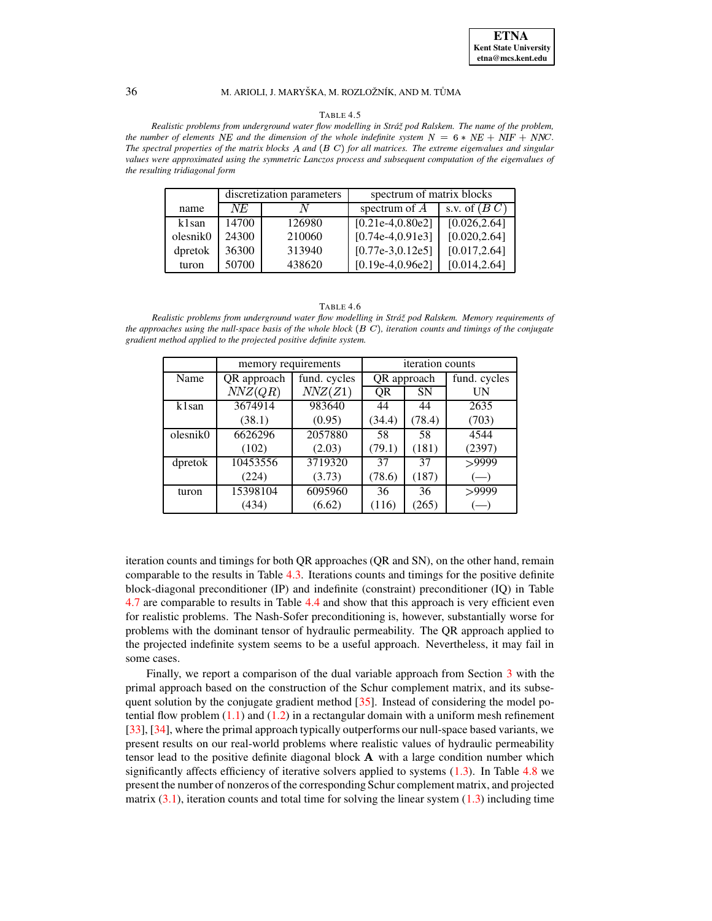#### TABLE 4.5

<span id="page-19-0"></span>*Realistic problems from underground water flow modelling in Stra´zˇ pod Ralskem. The name of the problem, the* number of elements NE and the dimension of the whole indefinite system  $N = 6 * NE + NIF + NNC$ . The spectral properties of the matrix blocks A and  $(B C)$  for all matrices. The extreme eigenvalues and singular *values were approximated using the symmetric Lanczos process and subsequent computation of the eigenvalues of the resulting tridiagonal form*

|          |       | discretization parameters | spectrum of matrix blocks |                             |  |  |
|----------|-------|---------------------------|---------------------------|-----------------------------|--|--|
| name     | NE    | N                         | spectrum of $A$           | s.v. of $(B\ \overline{C})$ |  |  |
| k1san    | 14700 | 126980                    | $[0.21e-4.0.80e2]$        | [0.026, 2.64]               |  |  |
| olesnik0 | 24300 | 210060                    | $[0.74e-4, 0.91e3]$       | [0.020, 2.64]               |  |  |
| dpretok  | 36300 | 313940                    | $[0.77e-3.0.12e5]$        | [0.017, 2.64]               |  |  |
| turon    | 50700 | 438620                    | $[0.19e-4.0.96e2]$        | [0.014, 2.64]               |  |  |

|--|

<span id="page-19-1"></span>*Realistic problems from underground water flow modelling in Stra´zˇ pod Ralskem. Memory requirements of* the approaches using the null-space basis of the whole block  $(B C)$ , iteration counts and timings of the conjugate *gradient method applied to the projected positive definite system.*

|          | memory requirements |              | iteration counts |           |                    |  |
|----------|---------------------|--------------|------------------|-----------|--------------------|--|
| Name     | QR approach         | fund. cycles | QR approach      |           | fund. cycles       |  |
|          | NNZ(QR)             | NNZ(Z1)      | <b>OR</b>        | <b>SN</b> | UN                 |  |
| k1san    | 3674914             | 983640       | 44               | 44        | 2635               |  |
|          | (38.1)              | (0.95)       | (34.4)           | (78.4)    | (703)              |  |
| olesnik0 | 6626296             | 2057880      | 58               | 58        | 4544               |  |
|          | (102)               | (2.03)       | (79.1)           | (181)     | (2397)             |  |
| dpretok  | 10453556            | 3719320      | 37               | 37        | >9999              |  |
|          | (224)               | (3.73)       | (78.6)           | (187)     | $\left($ $\right)$ |  |
| turon    | 15398104            | 6095960      | 36               | 36        | >9999              |  |
|          | (434)               | (6.62)       | (116)            | (265)     |                    |  |

iteration counts and timings for both QR approaches (QR and SN), on the other hand, remain comparable to the results in Table [4.3.](#page-17-0) Iterations counts and timings for the positive definite block-diagonal preconditioner (IP) and indefinite (constraint) preconditioner (IQ) in Table [4.7](#page-20-0) are comparable to results in Table [4.4](#page-18-0) and show that this approach is very efficient even for realistic problems. The Nash-Sofer preconditioning is, however, substantially worse for problems with the dominant tensor of hydraulic permeability. The QR approach applied to the projected indefinite system seems to be a useful approach. Nevertheless, it may fail in some cases.

Finally, we report a comparison of the dual variable approach from Section [3](#page-10-1) with the primal approach based on the construction of the Schur complement matrix, and its subsequent solution by the conjugate gradient method  $[35]$ . Instead of considering the model potential flow problem  $(1.1)$  and  $(1.2)$  in a rectangular domain with a uniform mesh refinement [\[33\]](#page-22-1), [\[34\]](#page-22-2), where the primal approach typically outperforms our null-space based variants, we present results on our real-world problems where realistic values of hydraulic permeability tensor lead to the positive definite diagonal block  $A$  with a large condition number which significantly affects efficiency of iterative solvers applied to systems  $(1.3)$ . In Table [4.8](#page-20-1) we present the number of nonzeros of the corresponding Schur complement matrix, and projected matrix  $(3.1)$ , iteration counts and total time for solving the linear system  $(1.3)$  including time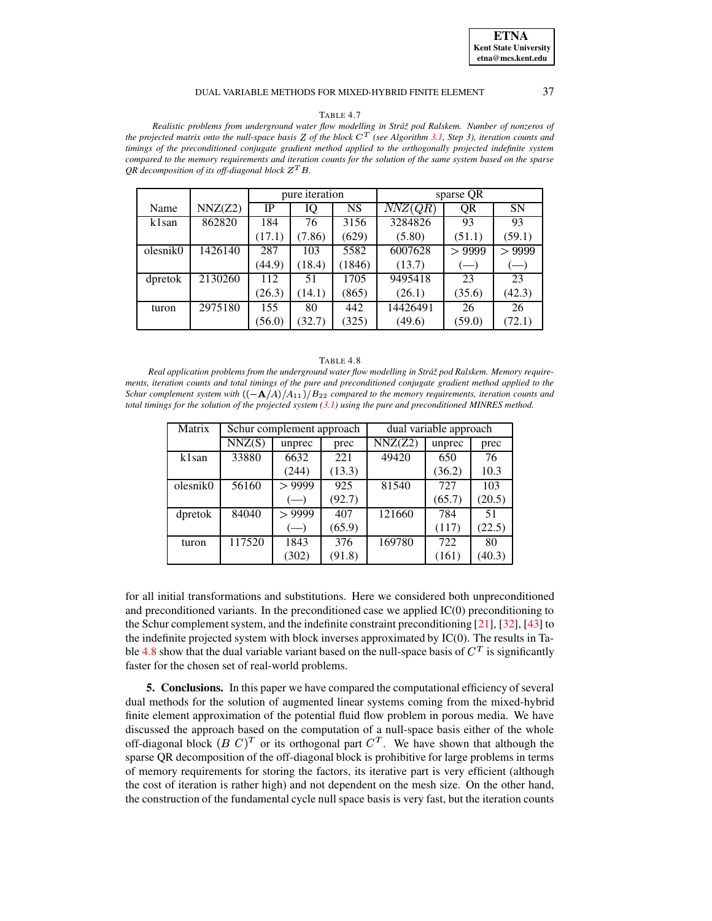### **ETNA Kent State University etna@mcs.kent.edu**

### DUAL VARIABLE METHODS FOR MIXED-HYBRID FINITE ELEMENT 37

### TABLE 4.7

<span id="page-20-0"></span>*Realistic problems from underground water flow modelling in Stra´zˇ pod Ralskem. Number of nonzeros of* the projected matrix onto the null-space basis Z of the block  $C^T$  (see Algorithm [3.1,](#page-10-0) Step 3), iteration counts and *timings of the preconditioned conjugate gradient method applied to the orthogonally projected indefinite system* compared to the memory requirements and iteration counts for the solution of the same system based on the sparse QR decomposition of its off-diagonal block  $Z<sup>T</sup> B$ .

|          |         | pure iteration |        |           | sparse QR            |                                                        |           |
|----------|---------|----------------|--------|-----------|----------------------|--------------------------------------------------------|-----------|
| Name     | NNZ(Z2) | IP             | IQ     | <b>NS</b> | $\overline{NNZ}(QR)$ | QR                                                     | <b>SN</b> |
| k1san    | 862820  | 184            | 76     | 3156      | 3284826              | 93                                                     | 93        |
|          |         | (17.1)         | (7.86) | (629)     | (5.80)               | (51.1)                                                 | (59.1)    |
| olesnik0 | 1426140 | 287            | 103    | 5582      | 6007628              | >9999                                                  | > 9999    |
|          |         | (44.9)         | (18.4) | (1846)    | (13.7)               | $\left( \begin{matrix} - & \cdot \end{matrix} \right)$ | $(-)$     |
| dpretok  | 2130260 | 112            | 51     | 1705      | 9495418              | 23                                                     | 23        |
|          |         | (26.3)         | (14.1) | (865)     | (26.1)               | (35.6)                                                 | (42.3)    |
| turon    | 2975180 | 155            | 80     | 442       | 14426491             | 26                                                     | 26        |
|          |         | (56.0)         | (32.7) | (325)     | (49.6)               | (59.0)                                                 | (72.1)    |

#### TABLE 4.8

<span id="page-20-1"></span>*Real application problems from the underground water flow modelling in Stra´zˇ pod Ralskem. Memory require*ments, iteration counts and total timings of the pure and preconditioned conjugate gradient method applied to the *Schur* complement system with  $\left(\frac{-\mathbf{A}}{A}\right)/A_{11}/B_{22}$  compared to the memory requirements, iteration counts and total timings for the solution of the projected system  $(3.1)$  using the pure and preconditioned MINRES method.

| Matrix   |        | Schur complement approach                             |        | dual variable approach |        |        |
|----------|--------|-------------------------------------------------------|--------|------------------------|--------|--------|
|          | NNZ(S) | unprec                                                | prec   | NNZ(Z2)                | unprec | prec   |
| k1san    | 33880  | 6632                                                  | 221    | 49420                  | 650    | 76     |
|          |        | (244)                                                 | (13.3) |                        | (36.2) | 10.3   |
| olesnik0 | 56160  | > 9999                                                | 925    | 81540                  | 727    | 103    |
|          |        | $\left( \begin{array}{c} \end{array} \right)$         | (92.7) |                        | (65.7) | (20.5) |
| dpretok  | 84040  | > 9999                                                | 407    | 121660                 | 784    | 51     |
|          |        | $\left( \begin{matrix} -1 \\ -1 \end{matrix} \right)$ | (65.9) |                        | (117)  | (22.5) |
| turon    | 117520 | 1843                                                  | 376    | 169780                 | 722    | 80     |
|          |        | (302)                                                 | (91.8) |                        | (161)  | (40.3) |

for all initial transformations and substitutions. Here we considered both unpreconditioned and preconditioned variants. In the preconditioned case we applied IC(0) preconditioning to the Schur complement system, and the indefinite constraint preconditioning  $[21]$ ,  $[32]$ ,  $[43]$  to the indefinite projected system with block inverses approximated by IC(0). The results in Ta-ble [4.8](#page-20-1) show that the dual variable variant based on the null-space basis of  $C<sup>T</sup>$  is significantly faster for the chosen set of real-world problems.

**5. Conclusions.** In this paper we have compared the computational efficiency of several dual methods for the solution of augmented linear systems coming from the mixed-hybrid finite element approximation of the potential fluid flow problem in porous media. We have discussed the approach based on the computation of a null-space basis either of the whole off-diagonal block  $(B C)^T$  or its orthogonal part  $C^T$ . We have shown that although the sparse QR decomposition of the off-diagonal block is prohibitive for large problems in terms of memory requirements for storing the factors, its iterative part is very efficient (although the cost of iteration is rather high) and not dependent on the mesh size. On the other hand, the construction of the fundamental cycle null space basis is very fast, but the iteration counts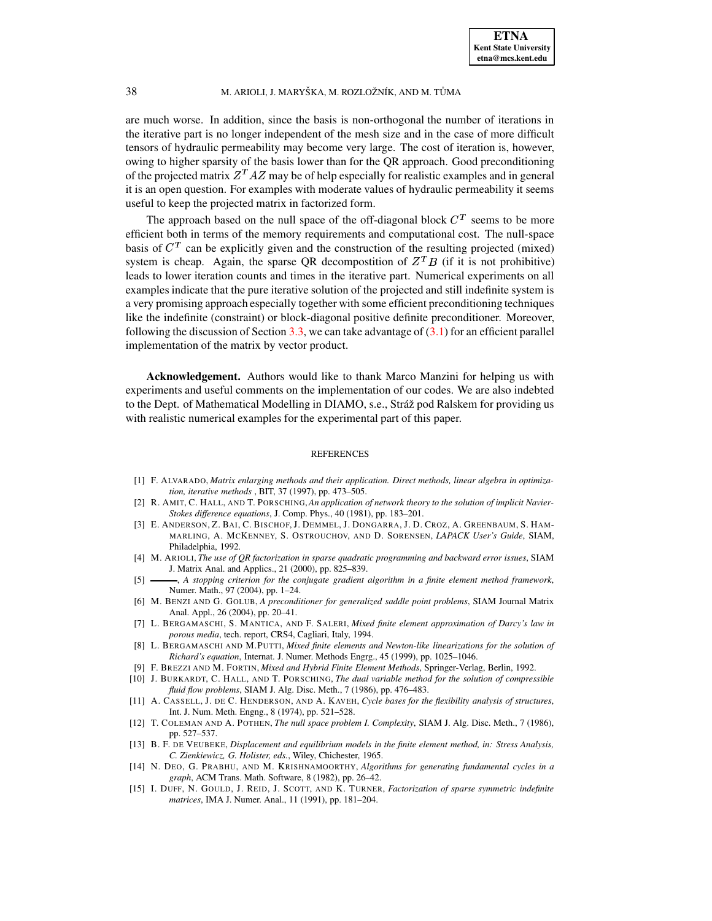are much worse. In addition, since the basis is non-orthogonal the number of iterations in the iterative part is no longer independent of the mesh size and in the case of more difficult tensors of hydraulic permeability may become very large. The cost of iteration is, however, owing to higher sparsity of the basis lower than for the QR approach. Good preconditioning of the projected matrix  $Z^T A Z$  may be of help especially for realistic examples and in general it is an open question. For examples with moderate values of hydraulic permeability it seems useful to keep the projected matrix in factorized form.

The approach based on the null space of the off-diagonal block  $C<sup>T</sup>$  seems to be more efficient both in terms of the memory requirements and computational cost. The null-space basis of  $C<sup>T</sup>$  can be explicitly given and the construction of the resulting projected (mixed) system is cheap. Again, the sparse QR decompostition of  $Z^T B$  (if it is not prohibitive) leads to lower iteration counts and times in the iterative part. Numerical experiments on all examples indicate that the pure iterative solution of the projected and still indefinite system is a very promising approach especially together with some efficient preconditioning techniques like the indefinite (constraint) or block-diagonal positive definite preconditioner. Moreover, following the discussion of Section [3.3,](#page-11-2) we can take advantage of  $(3.1)$  for an efficient parallel implementation of the matrix by vector product.

**Acknowledgement.** Authors would like to thank Marco Manzini for helping us with experiments and useful comments on the implementation of our codes. We are also indebted to the Dept. of Mathematical Modelling in DIAMO, s.e., Stráž pod Ralskem for providing us with realistic numerical examples for the experimental part of this paper.

### REFERENCES

- <span id="page-21-2"></span>[1] F. ALVARADO, *Matrix enlarging methods and their application. Direct methods, linear algebra in optimization, iterative methods* , BIT, 37 (1997), pp. 473–505.
- <span id="page-21-10"></span>[2] R. AMIT, C. HALL, AND T. PORSCHING,*An application of network theory to the solution of implicit Navier-Stokes difference equations*, J. Comp. Phys., 40 (1981), pp. 183–201.
- <span id="page-21-13"></span>[3] E. ANDERSON, Z. BAI, C. BISCHOF, J. DEMMEL, J. DONGARRA, J. D. CROZ, A. GREENBAUM, S. HAM-MARLING, A. MCKENNEY, S. OSTROUCHOV, AND D. SORENSEN, *LAPACK User's Guide*, SIAM, Philadelphia, 1992.
- <span id="page-21-14"></span><span id="page-21-3"></span>[4] M. ARIOLI, *The use of QR factorization in sparse quadratic programming and backward error issues*, SIAM J. Matrix Anal. and Applics., 21 (2000), pp. 825–839.
- [5] , *A stopping criterion for the conjugate gradient algorithm in a finite element method framework*, Numer. Math., 97 (2004), pp. 1–24.
- <span id="page-21-5"></span>[6] M. BENZI AND G. GOLUB, *A preconditioner for generalized saddle point problems*, SIAM Journal Matrix Anal. Appl., 26 (2004), pp. 20–41.
- <span id="page-21-4"></span>[7] L. BERGAMASCHI, S. MANTICA, AND F. SALERI, *Mixed finite element approximation of Darcy's law in porous media*, tech. report, CRS4, Cagliari, Italy, 1994.
- <span id="page-21-0"></span>[8] L. BERGAMASCHI AND M.PUTTI, *Mixed finite elements and Newton-like linearizations for the solution of Richard's equation*, Internat. J. Numer. Methods Engrg., 45 (1999), pp. 1025–1046.
- [9] F. BREZZI AND M. FORTIN, *Mixed and Hybrid Finite Element Methods*, Springer-Verlag, Berlin, 1992.
- <span id="page-21-11"></span><span id="page-21-7"></span>[10] J. BURKARDT, C. HALL, AND T. PORSCHING, *The dual variable method for the solution of compressible fluid flow problems*, SIAM J. Alg. Disc. Meth., 7 (1986), pp. 476–483.
- <span id="page-21-9"></span>[11] A. CASSELL, J. DE C. HENDERSON, AND A. KAVEH, *Cycle bases for the flexibility analysis of structures*, Int. J. Num. Meth. Engng., 8 (1974), pp. 521–528.
- <span id="page-21-12"></span>[12] T. COLEMAN AND A. POTHEN, *The null space problem I. Complexity*, SIAM J. Alg. Disc. Meth., 7 (1986), pp. 527–537.
- <span id="page-21-1"></span>[13] B. F. DE VEUBEKE, *Displacement and equilibrium models in the finite element method, in: Stress Analysis, C. Zienkiewicz, G. Holister, eds.*, Wiley, Chichester, 1965.
- <span id="page-21-8"></span>[14] N. DEO, G. PRABHU, AND M. KRISHNAMOORTHY, *Algorithms for generating fundamental cycles in a graph*, ACM Trans. Math. Software, 8 (1982), pp. 26–42.
- <span id="page-21-6"></span>[15] I. DUFF, N. GOULD, J. REID, J. SCOTT, AND K. TURNER, *Factorization of sparse symmetric indefinite matrices*, IMA J. Numer. Anal., 11 (1991), pp. 181–204.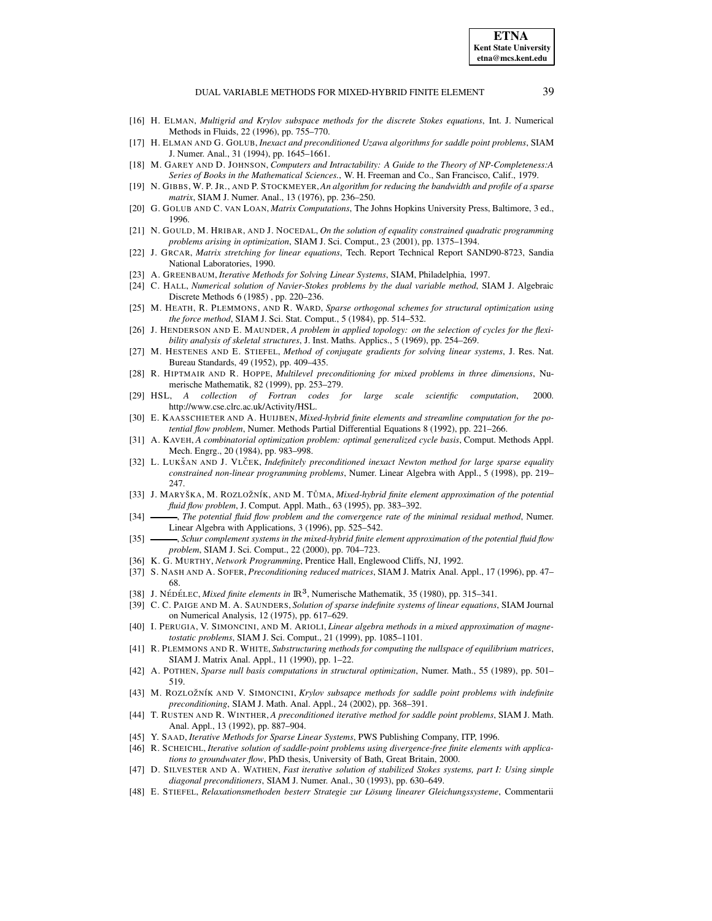#### DUAL VARIABLE METHODS FOR MIXED-HYBRID FINITE ELEMENT 39

- <span id="page-22-11"></span><span id="page-22-7"></span>[16] H. ELMAN, *Multigrid and Krylov subspace methods for the discrete Stokes equations*, Int. J. Numerical Methods in Fluids, 22 (1996), pp. 755–770.
- <span id="page-22-21"></span>[17] H. ELMAN AND G. GOLUB, *Inexact and preconditioned Uzawa algorithms for saddle point problems*, SIAM J. Numer. Anal., 31 (1994), pp. 1645–1661.
- [18] M. GAREY AND D. JOHNSON, *Computers and Intractability: A Guide to the Theory of NP-Completeness:A Series of Books in the Mathematical Sciences.*, W. H. Freeman and Co., San Francisco, Calif., 1979.
- <span id="page-22-22"></span>[19] N. GIBBS, W. P. JR., AND P. STOCKMEYER,*An algorithm for reducing the bandwidth and profile of a sparse matrix*, SIAM J. Numer. Anal., 13 (1976), pp. 236–250.
- <span id="page-22-31"></span>[20] G. GOLUB AND C. VAN LOAN, *Matrix Computations*, The Johns Hopkins University Press, Baltimore, 3 ed., 1996.
- <span id="page-22-29"></span>[21] N. GOULD, M. HRIBAR, AND J. NOCEDAL, *On the solution of equality constrained quadratic programming problems arising in optimization*, SIAM J. Sci. Comput., 23 (2001), pp. 1375–1394.
- <span id="page-22-27"></span><span id="page-22-3"></span>[22] J. GRCAR, *Matrix stretching for linear equations*, Tech. Report Technical Report SAND90-8723, Sandia National Laboratories, 1990.
- <span id="page-22-15"></span>[23] A. GREENBAUM, *Iterative Methods for Solving Linear Systems*, SIAM, Philadelphia, 1997.
- [24] C. HALL, *Numerical solution of Navier-Stokes problems by the dual variable method*, SIAM J. Algebraic Discrete Methods 6 (1985) , pp. 220–236.
- <span id="page-22-16"></span>[25] M. HEATH, R. PLEMMONS, AND R. WARD, *Sparse orthogonal schemes for structural optimization using the force method*, SIAM J. Sci. Stat. Comput., 5 (1984), pp. 514–532.
- <span id="page-22-17"></span>[26] J. HENDERSON AND E. MAUNDER, *A problem in applied topology: on the selection of cycles for the flexibility analysis of skeletal structures*, J. Inst. Maths. Applics., 5 (1969), pp. 254–269.
- <span id="page-22-25"></span>[27] M. HESTENES AND E. STIEFEL, *Method of conjugate gradients for solving linear systems*, J. Res. Nat. Bureau Standards, 49 (1952), pp. 409–435.
- <span id="page-22-14"></span>[28] R. HIPTMAIR AND R. HOPPE, *Multilevel preconditioning for mixed problems in three dimensions*, Numerische Mathematik, 82 (1999), pp. 253–279.
- <span id="page-22-32"></span>[29] HSL, *A collection of Fortran codes for large scale scientific computation*, 2000. http://www.cse.clrc.ac.uk/Activity/HSL.
- <span id="page-22-0"></span>[30] E. KAASSCHIETER AND A. HUIJBEN, *Mixed-hybrid finite elements and streamline computation for the potential flow problem*, Numer. Methods Partial Differential Equations 8 (1992), pp. 221–266.
- <span id="page-22-20"></span>[31] A. KAVEH, *A combinatorial optimization problem: optimal generalized cycle basis*, Comput. Methods Appl. Mech. Engrg., 20 (1984), pp. 983–998.
- <span id="page-22-6"></span>[32] L. LUKSˇ AN AND J. VLCˇ EK, *Indefinitely preconditioned inexact Newton method for large sparse equality constrained non-linear programming problems*, Numer. Linear Algebra with Appl., 5 (1998), pp. 219– 247.
- <span id="page-22-1"></span>[33] J. MARYSˇ KA, M. ROZLOZˇ N´IK, AND M. TU˚ MA, *Mixed-hybrid finite element approximation of the potential fluid flow problem*, J. Comput. Appl. Math., 63 (1995), pp. 383–392.
- <span id="page-22-10"></span><span id="page-22-2"></span>[34] , *The potential fluid flow problem and the convergence rate of the minimal residual method*, Numer. Linear Algebra with Applications, 3 (1996), pp. 525–542.
- [35] , *Schur complement systems in the mixed-hybrid finite element approximation of the potential fluid flow problem*, SIAM J. Sci. Comput., 22 (2000), pp. 704–723.
- <span id="page-22-28"></span><span id="page-22-24"></span>[36] K. G. MURTHY, *Network Programming*, Prentice Hall, Englewood Cliffs, NJ, 1992.
- [37] S. NASH AND A. SOFER, *Preconditioning reduced matrices*, SIAM J. Matrix Anal. Appl., 17 (1996), pp. 47– 68.
- <span id="page-22-12"></span><span id="page-22-8"></span>[38] J. NÉDÉLEC, *Mixed finite elements in*  $\mathbb{R}^3$ , Numerische Mathematik, 35 (1980), pp. 315–341.
- [39] C. C. PAIGE AND M. A. SAUNDERS, *Solution of sparse indefinite systems of linear equations*, SIAM Journal on Numerical Analysis, 12 (1975), pp. 617–629.
- <span id="page-22-5"></span>[40] I. PERUGIA, V. SIMONCINI, AND M. ARIOLI, *Linear algebra methods in a mixed approximation of magnetostatic problems*, SIAM J. Sci. Comput., 21 (1999), pp. 1085–1101.
- <span id="page-22-19"></span>[41] R. PLEMMONS AND R. WHITE, *Substructuring methods for computing the nullspace of equilibrium matrices*, SIAM J. Matrix Anal. Appl., 11 (1990), pp. 1–22.
- <span id="page-22-18"></span>[42] A. POTHEN, *Sparse null basis computations in structural optimization*, Numer. Math., 55 (1989), pp. 501– 519.
- <span id="page-22-9"></span>[43] M. ROZLOZˇ N´IK AND V. SIMONCINI, *Krylov subsapce methods for saddle point problems with indefinite preconditioning*, SIAM J. Math. Anal. Appl., 24 (2002), pp. 368–391.
- <span id="page-22-30"></span>[44] T. RUSTEN AND R. WINTHER, *A preconditioned iterative method for saddle point problems*, SIAM J. Math. Anal. Appl., 13 (1992), pp. 887–904.
- <span id="page-22-23"></span><span id="page-22-13"></span>[45] Y. SAAD, *Iterative Methods for Sparse Linear Systems*, PWS Publishing Company, ITP, 1996.
- [46] R. SCHEICHL, *Iterative solution of saddle-point problems using divergence-free finite elements with applications to groundwater flow*, PhD thesis, University of Bath, Great Britain, 2000.
- <span id="page-22-4"></span>[47] D. SILVESTER AND A. WATHEN, *Fast iterative solution of stabilized Stokes systems, part I: Using simple diagonal preconditioners*, SIAM J. Numer. Anal., 30 (1993), pp. 630–649.
- <span id="page-22-26"></span>[48] E. STIEFEL, *Relaxationsmethoden besterr Strategie zur Losung ¨ linearer Gleichungssysteme*, Commentarii